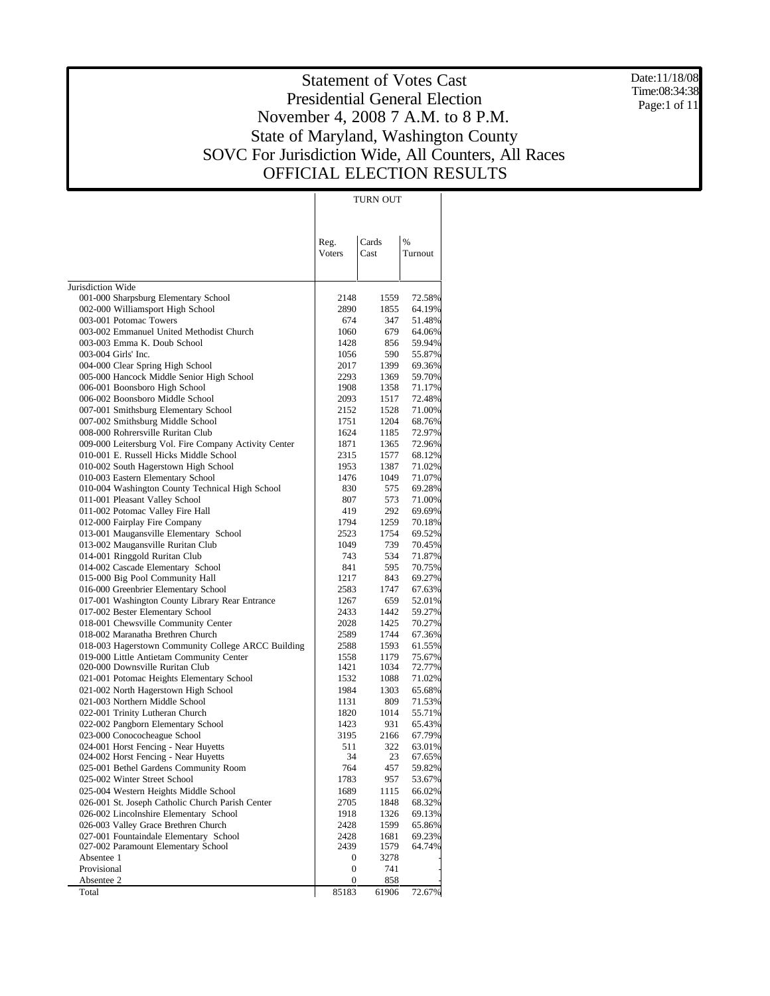Date:11/18/08 Time:08:34:38 Page:1 of 11

|                                                                               |                       | TURN OUT      |                  |
|-------------------------------------------------------------------------------|-----------------------|---------------|------------------|
|                                                                               | Reg.<br><b>Voters</b> | Cards<br>Cast | %<br>Turnout     |
| Jurisdiction Wide                                                             |                       |               |                  |
| 001-000 Sharpsburg Elementary School                                          | 2148                  | 1559          | 72.58%           |
| 002-000 Williamsport High School                                              | 2890                  | 1855          | 64.19%           |
| 003-001 Potomac Towers                                                        | 674                   | 347           | 51.48%           |
| 003-002 Emmanuel United Methodist Church                                      | 1060                  | 679           | 64.06%           |
| 003-003 Emma K. Doub School<br>003-004 Girls' Inc.                            | 1428<br>1056          | 856<br>590    | 59.94%           |
| 004-000 Clear Spring High School                                              | 2017                  | 1399          | 55.87%<br>69.36% |
| 005-000 Hancock Middle Senior High School                                     | 2293                  | 1369          | 59.70%           |
| 006-001 Boonsboro High School                                                 | 1908                  | 1358          | 71.17%           |
| 006-002 Boonsboro Middle School                                               | 2093                  | 1517          | 72.48%           |
| 007-001 Smithsburg Elementary School                                          | 2152                  | 1528          | 71.00%           |
| 007-002 Smithsburg Middle School                                              | 1751                  | 1204          | 68.76%           |
| 008-000 Rohrersville Ruritan Club                                             | 1624                  | 1185          | 72.97%           |
| 009-000 Leitersburg Vol. Fire Company Activity Center                         | 1871                  | 1365          | 72.96%           |
| 010-001 E. Russell Hicks Middle School                                        | 2315                  | 1577          | 68.12%           |
| 010-002 South Hagerstown High School                                          | 1953                  | 1387          | 71.02%           |
| 010-003 Eastern Elementary School                                             | 1476                  | 1049          | 71.07%           |
| 010-004 Washington County Technical High School                               | 830                   | 575           | 69.28%           |
| 011-001 Pleasant Valley School                                                | 807                   | 573           | 71.00%           |
| 011-002 Potomac Valley Fire Hall                                              | 419                   | 292           | 69.69%           |
| 012-000 Fairplay Fire Company                                                 | 1794                  | 1259          | 70.18%           |
| 013-001 Maugansville Elementary School                                        | 2523                  | 1754          | 69.52%           |
| 013-002 Maugansville Ruritan Club                                             | 1049                  | 739           | 70.45%           |
| 014-001 Ringgold Ruritan Club                                                 | 743<br>841            | 534<br>595    | 71.87%           |
| 014-002 Cascade Elementary School<br>015-000 Big Pool Community Hall          | 1217                  | 843           | 70.75%<br>69.27% |
| 016-000 Greenbrier Elementary School                                          | 2583                  | 1747          | 67.63%           |
| 017-001 Washington County Library Rear Entrance                               | 1267                  | 659           | 52.01%           |
| 017-002 Bester Elementary School                                              | 2433                  | 1442          | 59.27%           |
| 018-001 Chewsville Community Center                                           | 2028                  | 1425          | 70.27%           |
| 018-002 Maranatha Brethren Church                                             | 2589                  | 1744          | 67.36%           |
| 018-003 Hagerstown Community College ARCC Building                            | 2588                  | 1593          | 61.55%           |
| 019-000 Little Antietam Community Center                                      | 1558                  | 1179          | 75.67%           |
| 020-000 Downsville Ruritan Club                                               | 1421                  | 1034          | 72.77%           |
| 021-001 Potomac Heights Elementary School                                     | 1532                  | 1088          | 71.02%           |
| 021-002 North Hagerstown High School                                          | 1984                  | 1303          | 65.68%           |
| 021-003 Northern Middle School                                                | 1131                  | 809           | 71.53%           |
| 022-001 Trinity Lutheran Church                                               | 1820                  | 1014          | 55.71%           |
| 022-002 Pangborn Elementary School                                            | 1423                  | 931           | 65.43%           |
| 023-000 Conococheague School                                                  | 3195                  | 2166          | 67.79%           |
| 024-001 Horst Fencing - Near Huyetts                                          | 511                   | 322           | 63.01%           |
| 024-002 Horst Fencing - Near Huyetts<br>025-001 Bethel Gardens Community Room | 34<br>764             | 23<br>457     | 67.65%<br>59.82% |
| 025-002 Winter Street School                                                  | 1783                  | 957           | 53.67%           |
| 025-004 Western Heights Middle School                                         | 1689                  | 1115          | 66.02%           |
| 026-001 St. Joseph Catholic Church Parish Center                              | 2705                  | 1848          | 68.32%           |
| 026-002 Lincolnshire Elementary School                                        | 1918                  | 1326          | 69.13%           |
| 026-003 Valley Grace Brethren Church                                          | 2428                  | 1599          | 65.86%           |
| 027-001 Fountaindale Elementary School                                        | 2428                  | 1681          | 69.23%           |
| 027-002 Paramount Elementary School                                           | 2439                  | 1579          | 64.74%           |
| Absentee 1                                                                    | $\boldsymbol{0}$      | 3278          |                  |
| Provisional                                                                   | 0                     | 741           |                  |
| Absentee 2                                                                    | $\boldsymbol{0}$      | 858           |                  |
| Total                                                                         | 85183                 | 61906         | 72.67%           |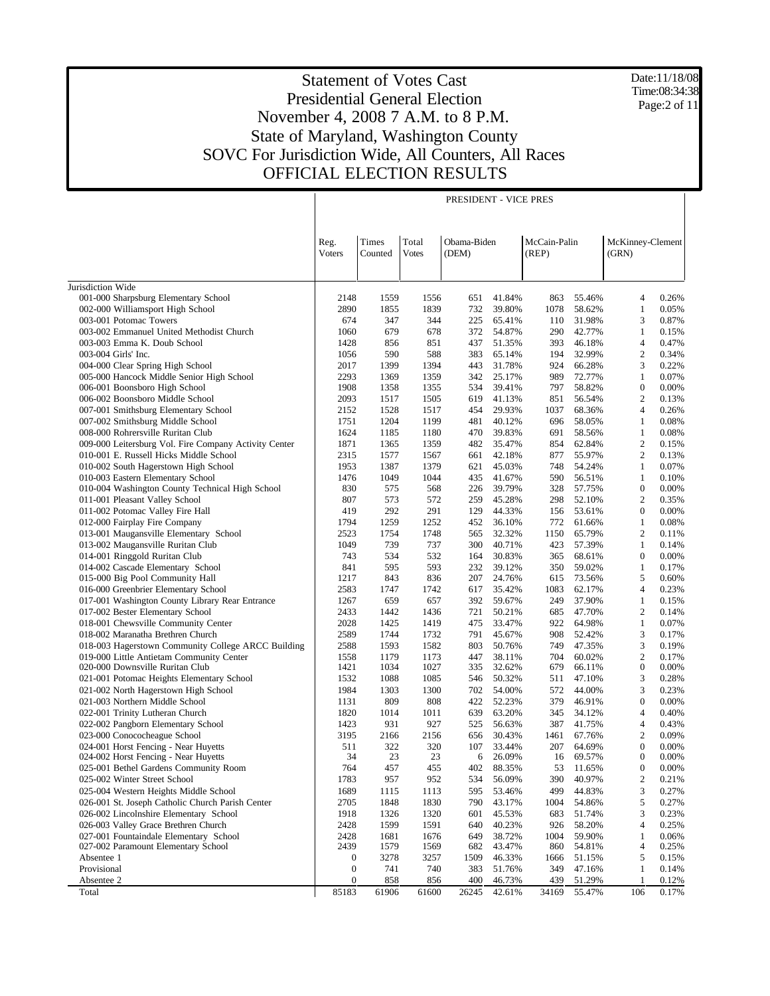Date:11/18/08 Time:08:34:38 Page:2 of 11

|                                                                          |                       |                  |                       | PRESIDENT - VICE PRES |                  |                       |                  |                                  |                |
|--------------------------------------------------------------------------|-----------------------|------------------|-----------------------|-----------------------|------------------|-----------------------|------------------|----------------------------------|----------------|
|                                                                          | Reg.<br><b>Voters</b> | Times<br>Counted | Total<br><b>Votes</b> | Obama-Biden<br>(DEM)  |                  | McCain-Palin<br>(REP) |                  | McKinney-Clement<br>(GRN)        |                |
| Jurisdiction Wide                                                        |                       |                  |                       |                       |                  |                       |                  |                                  |                |
| 001-000 Sharpsburg Elementary School                                     | 2148                  | 1559             | 1556                  | 651                   | 41.84%           | 863                   | 55.46%           | 4                                | 0.26%          |
| 002-000 Williamsport High School                                         | 2890                  | 1855             | 1839                  | 732                   | 39.80%           | 1078                  | 58.62%           | 1                                | 0.05%          |
| 003-001 Potomac Towers                                                   | 674                   | 347              | 344                   | 225                   | 65.41%           | 110                   | 31.98%           | 3                                | 0.87%          |
| 003-002 Emmanuel United Methodist Church                                 | 1060                  | 679              | 678                   | 372                   | 54.87%           | 290                   | 42.77%           | 1                                | 0.15%          |
| 003-003 Emma K. Doub School                                              | 1428                  | 856              | 851                   | 437                   | 51.35%           | 393                   | 46.18%           | $\overline{4}$                   | 0.47%          |
| 003-004 Girls' Inc.                                                      | 1056                  | 590              | 588                   | 383                   | 65.14%           | 194                   | 32.99%           | $\overline{c}$                   | 0.34%          |
| 004-000 Clear Spring High School                                         | 2017                  | 1399             | 1394                  | 443                   | 31.78%           | 924                   | 66.28%           | 3                                | 0.22%          |
| 005-000 Hancock Middle Senior High School                                | 2293                  | 1369             | 1359                  | 342                   | 25.17%           | 989                   | 72.77%           | 1                                | 0.07%          |
| 006-001 Boonsboro High School                                            | 1908                  | 1358             | 1355                  | 534                   | 39.41%           | 797                   | 58.82%           | $\mathbf{0}$                     | 0.00%          |
| 006-002 Boonsboro Middle School                                          | 2093<br>2152          | 1517<br>1528     | 1505<br>1517          | 619<br>454            | 41.13%<br>29.93% | 851<br>1037           | 56.54%<br>68.36% | $\overline{2}$<br>$\overline{4}$ | 0.13%<br>0.26% |
| 007-001 Smithsburg Elementary School<br>007-002 Smithsburg Middle School | 1751                  | 1204             | 1199                  | 481                   | 40.12%           | 696                   | 58.05%           | $\mathbf{1}$                     | 0.08%          |
| 008-000 Rohrersville Ruritan Club                                        | 1624                  | 1185             | 1180                  | 470                   | 39.83%           | 691                   | 58.56%           | $\mathbf{1}$                     | 0.08%          |
| 009-000 Leitersburg Vol. Fire Company Activity Center                    | 1871                  | 1365             | 1359                  | 482                   | 35.47%           | 854                   | 62.84%           | $\overline{2}$                   | 0.15%          |
| 010-001 E. Russell Hicks Middle School                                   | 2315                  | 1577             | 1567                  | 661                   | 42.18%           | 877                   | 55.97%           | $\overline{2}$                   | 0.13%          |
| 010-002 South Hagerstown High School                                     | 1953                  | 1387             | 1379                  | 621                   | 45.03%           | 748                   | 54.24%           | $\mathbf{1}$                     | 0.07%          |
| 010-003 Eastern Elementary School                                        | 1476                  | 1049             | 1044                  | 435                   | 41.67%           | 590                   | 56.51%           | $\mathbf{1}$                     | 0.10%          |
| 010-004 Washington County Technical High School                          | 830                   | 575              | 568                   | 226                   | 39.79%           | 328                   | 57.75%           | $\boldsymbol{0}$                 | 0.00%          |
| 011-001 Pleasant Valley School                                           | 807                   | 573              | 572                   | 259                   | 45.28%           | 298                   | 52.10%           | $\overline{2}$                   | 0.35%          |
| 011-002 Potomac Valley Fire Hall                                         | 419                   | 292              | 291                   | 129                   | 44.33%           | 156                   | 53.61%           | $\boldsymbol{0}$                 | 0.00%          |
| 012-000 Fairplay Fire Company                                            | 1794                  | 1259             | 1252                  | 452                   | 36.10%           | 772                   | 61.66%           | $\mathbf{1}$                     | 0.08%          |
| 013-001 Maugansville Elementary School                                   | 2523                  | 1754             | 1748                  | 565                   | 32.32%           | 1150                  | 65.79%           | $\overline{2}$                   | 0.11%          |
| 013-002 Maugansville Ruritan Club                                        | 1049                  | 739              | 737                   | 300                   | 40.71%           | 423                   | 57.39%           | 1                                | 0.14%          |
| 014-001 Ringgold Ruritan Club                                            | 743                   | 534              | 532                   | 164                   | 30.83%           | 365                   | 68.61%           | $\boldsymbol{0}$                 | 0.00%          |
| 014-002 Cascade Elementary School                                        | 841<br>1217           | 595<br>843       | 593<br>836            | 232<br>207            | 39.12%           | 350                   | 59.02%           | 1<br>5                           | 0.17%<br>0.60% |
| 015-000 Big Pool Community Hall<br>016-000 Greenbrier Elementary School  | 2583                  | 1747             | 1742                  | 617                   | 24.76%<br>35.42% | 615<br>1083           | 73.56%<br>62.17% | 4                                | 0.23%          |
| 017-001 Washington County Library Rear Entrance                          | 1267                  | 659              | 657                   | 392                   | 59.67%           | 249                   | 37.90%           | $\mathbf{1}$                     | 0.15%          |
| 017-002 Bester Elementary School                                         | 2433                  | 1442             | 1436                  | 721                   | 50.21%           | 685                   | 47.70%           | $\overline{c}$                   | 0.14%          |
| 018-001 Chewsville Community Center                                      | 2028                  | 1425             | 1419                  | 475                   | 33.47%           | 922                   | 64.98%           | $\mathbf{1}$                     | 0.07%          |
| 018-002 Maranatha Brethren Church                                        | 2589                  | 1744             | 1732                  | 791                   | 45.67%           | 908                   | 52.42%           | 3                                | 0.17%          |
| 018-003 Hagerstown Community College ARCC Building                       | 2588                  | 1593             | 1582                  | 803                   | 50.76%           | 749                   | 47.35%           | 3                                | 0.19%          |
| 019-000 Little Antietam Community Center                                 | 1558                  | 1179             | 1173                  | 447                   | 38.11%           | 704                   | 60.02%           | $\overline{c}$                   | 0.17%          |
| 020-000 Downsville Ruritan Club                                          | 1421                  | 1034             | 1027                  | 335                   | 32.62%           | 679                   | 66.11%           | $\boldsymbol{0}$                 | 0.00%          |
| 021-001 Potomac Heights Elementary School                                | 1532                  | 1088             | 1085                  | 546                   | 50.32%           | 511                   | 47.10%           | 3                                | 0.28%          |
| 021-002 North Hagerstown High School                                     | 1984                  | 1303             | 1300                  | 702                   | 54.00%           | 572                   | 44.00%           | 3                                | 0.23%          |
| 021-003 Northern Middle School                                           | 1131                  | 809              | 808                   | 422                   | 52.23%           | 379                   | 46.91%           | $\boldsymbol{0}$                 | 0.00%          |
| 022-001 Trinity Lutheran Church                                          | 1820                  | 1014             | 1011                  | 639                   | 63.20%           | 345                   | 34.12%           | 4                                | 0.40%          |
| 022-002 Pangborn Elementary School                                       | 1423                  | 931              | 927                   | 525                   | 56.63%           | 387                   | 41.75%           | 4                                | 0.43%          |
| 023-000 Conococheague School<br>024-001 Horst Fencing - Near Huyetts     | 3195<br>511           | 2166<br>322      | 2156<br>320           | 656                   | 30.43%<br>33.44% | 1461                  | 67.76%<br>64.69% | $\overline{c}$<br>$\overline{0}$ | 0.09%<br>0.00% |
| 024-002 Horst Fencing - Near Huyetts                                     | 34                    | 23               | 23                    | 107<br>6              | 26.09%           | 207<br>16             | 69.57%           | $\Omega$                         | $0.00\%$       |
| 025-001 Bethel Gardens Community Room                                    | 764                   | 457              | 455                   | 402                   | 88.35%           | 53                    | 11.65%           | $\boldsymbol{0}$                 | 0.00%          |
| 025-002 Winter Street School                                             | 1783                  | 957              | 952                   | 534                   | 56.09%           | 390                   | 40.97%           | $\overline{\mathbf{c}}$          | 0.21%          |
| 025-004 Western Heights Middle School                                    | 1689                  | 1115             | 1113                  | 595                   | 53.46%           | 499                   | 44.83%           | 3                                | 0.27%          |
| 026-001 St. Joseph Catholic Church Parish Center                         | 2705                  | 1848             | 1830                  | 790                   | 43.17%           | 1004                  | 54.86%           | 5                                | 0.27%          |
| 026-002 Lincolnshire Elementary School                                   | 1918                  | 1326             | 1320                  | 601                   | 45.53%           | 683                   | 51.74%           | 3                                | 0.23%          |
| 026-003 Valley Grace Brethren Church                                     | 2428                  | 1599             | 1591                  | 640                   | 40.23%           | 926                   | 58.20%           | 4                                | 0.25%          |
| 027-001 Fountaindale Elementary School                                   | 2428                  | 1681             | 1676                  | 649                   | 38.72%           | 1004                  | 59.90%           | $\mathbf{1}$                     | 0.06%          |
| 027-002 Paramount Elementary School                                      | 2439                  | 1579             | 1569                  | 682                   | 43.47%           | 860                   | 54.81%           | 4                                | 0.25%          |
| Absentee 1                                                               | $\boldsymbol{0}$      | 3278             | 3257                  | 1509                  | 46.33%           | 1666                  | 51.15%           | 5                                | 0.15%          |
| Provisional                                                              | $\boldsymbol{0}$      | 741              | 740                   | 383                   | 51.76%           | 349                   | 47.16%           | 1                                | 0.14%          |
| Absentee 2                                                               | $\boldsymbol{0}$      | 858              | 856                   | 400                   | 46.73%           | 439                   | 51.29%           | -1                               | 0.12%          |
| Total                                                                    | 85183                 | 61906            | 61600                 | 26245                 | 42.61%           | 34169                 | 55.47%           | 106                              | 0.17%          |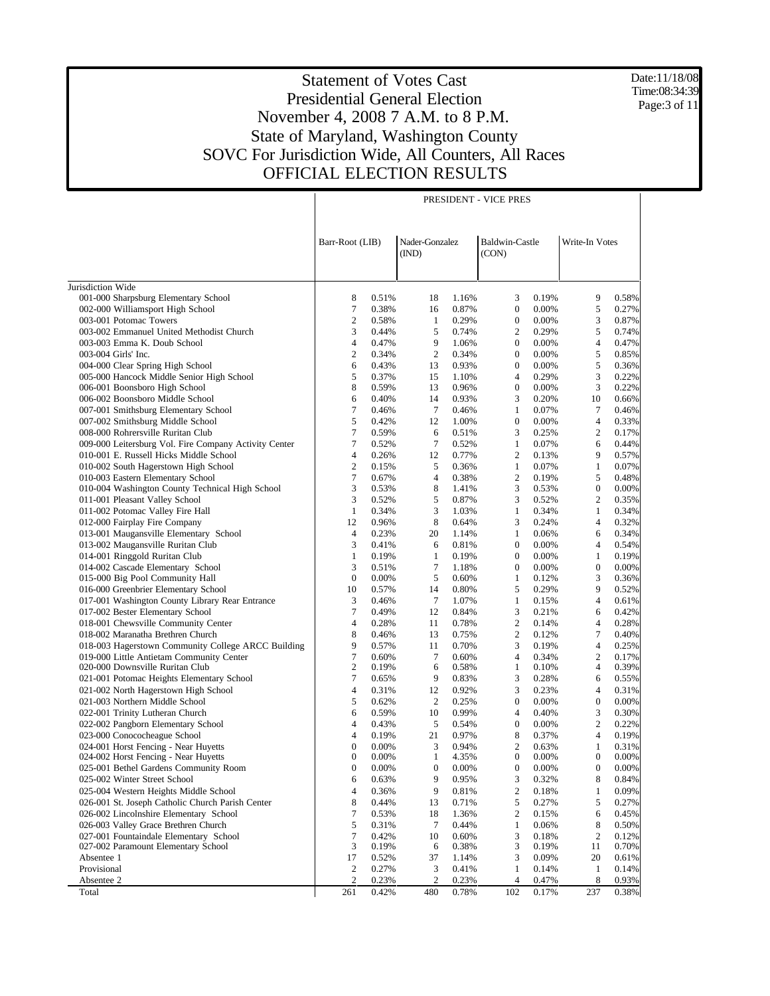Date:11/18/08 Time:08:34:39 Page:3 of 11

|                                                                             | PRESIDENT - VICE PRES |                |                         |                |                         |                |                  |                |  |
|-----------------------------------------------------------------------------|-----------------------|----------------|-------------------------|----------------|-------------------------|----------------|------------------|----------------|--|
|                                                                             | Barr-Root (LIB)       |                | Nader-Gonzalez<br>(IND) |                | Baldwin-Castle<br>(CON) |                | Write-In Votes   |                |  |
|                                                                             |                       |                |                         |                |                         |                |                  |                |  |
| Jurisdiction Wide<br>001-000 Sharpsburg Elementary School                   | 8                     | 0.51%          | 18                      | 1.16%          | 3                       | 0.19%          | 9                | 0.58%          |  |
| 002-000 Williamsport High School                                            | 7                     | 0.38%          | 16                      | 0.87%          | $\boldsymbol{0}$        | 0.00%          | 5                | 0.27%          |  |
| 003-001 Potomac Towers                                                      | 2                     | 0.58%          | 1                       | 0.29%          | $\boldsymbol{0}$        | 0.00%          | 3                | 0.87%          |  |
| 003-002 Emmanuel United Methodist Church                                    | 3                     | 0.44%          | 5                       | 0.74%          | $\overline{c}$          | 0.29%          | 5                | 0.74%          |  |
| 003-003 Emma K. Doub School                                                 | $\overline{4}$        | 0.47%          | 9                       | 1.06%          | $\mathbf{0}$            | 0.00%          | 4                | 0.47%          |  |
| 003-004 Girls' Inc.                                                         | $\mathbf{2}$          | 0.34%          | $\overline{2}$          | 0.34%          | $\boldsymbol{0}$        | 0.00%          | 5                | 0.85%          |  |
| 004-000 Clear Spring High School                                            | 6                     | 0.43%          | 13                      | 0.93%          | $\boldsymbol{0}$        | 0.00%          | 5                | 0.36%          |  |
| 005-000 Hancock Middle Senior High School                                   | 5                     | 0.37%          | 15                      | 1.10%          | 4                       | 0.29%          | 3                | 0.22%          |  |
| 006-001 Boonsboro High School                                               | 8                     | 0.59%          | 13                      | 0.96%          | $\boldsymbol{0}$        | 0.00%          | 3                | 0.22%          |  |
| 006-002 Boonsboro Middle School                                             | 6                     | 0.40%          | 14                      | 0.93%          | 3                       | 0.20%          | 10               | 0.66%          |  |
| 007-001 Smithsburg Elementary School                                        | 7                     | 0.46%          | $\tau$                  | 0.46%          | 1                       | 0.07%          | 7                | 0.46%          |  |
| 007-002 Smithsburg Middle School                                            | 5                     | 0.42%          | 12                      | 1.00%          | $\boldsymbol{0}$        | 0.00%          | $\overline{4}$   | 0.33%          |  |
| 008-000 Rohrersville Ruritan Club                                           | $\tau$                | 0.59%          | 6                       | 0.51%          | 3                       | 0.25%          | 2                | 0.17%          |  |
| 009-000 Leitersburg Vol. Fire Company Activity Center                       | $\tau$                | 0.52%          | $\tau$                  | 0.52%          | 1                       | 0.07%          | 6                | 0.44%          |  |
| 010-001 E. Russell Hicks Middle School                                      | 4                     | 0.26%          | 12                      | 0.77%          | $\overline{c}$          | 0.13%          | 9                | 0.57%          |  |
| 010-002 South Hagerstown High School                                        | $\overline{c}$        | 0.15%          | 5                       | 0.36%          | 1                       | 0.07%          | $\mathbf{1}$     | 0.07%          |  |
| 010-003 Eastern Elementary School                                           | $\tau$                | 0.67%          | $\overline{4}$          | 0.38%          | $\overline{c}$          | 0.19%          | 5                | 0.48%          |  |
| 010-004 Washington County Technical High School                             | 3                     | 0.53%          | 8                       | 1.41%          | 3                       | 0.53%          | $\boldsymbol{0}$ | 0.00%          |  |
| 011-001 Pleasant Valley School                                              | 3                     | 0.52%          | 5                       | 0.87%          | 3                       | 0.52%          | 2                | 0.35%          |  |
| 011-002 Potomac Valley Fire Hall                                            | $\mathbf{1}$          | 0.34%          | 3                       | 1.03%          | $\mathbf{1}$            | 0.34%          | $\mathbf{1}$     | 0.34%          |  |
| 012-000 Fairplay Fire Company                                               | 12                    | 0.96%          | 8                       | 0.64%          | 3                       | 0.24%          | $\overline{4}$   | 0.32%          |  |
| 013-001 Maugansville Elementary School                                      | 4                     | 0.23%          | 20                      | 1.14%          | $\mathbf{1}$            | 0.06%          | 6                | 0.34%          |  |
| 013-002 Maugansville Ruritan Club                                           | 3                     | 0.41%          | 6                       | 0.81%          | $\overline{0}$          | 0.00%          | $\overline{4}$   | 0.54%          |  |
| 014-001 Ringgold Ruritan Club                                               | $\mathbf{1}$          | 0.19%          | $\mathbf{1}$            | 0.19%          | $\overline{0}$          | 0.00%          | $\mathbf{1}$     | 0.19%          |  |
| 014-002 Cascade Elementary School                                           | 3                     | 0.51%          | $\tau$                  | 1.18%          | $\overline{0}$          | 0.00%          | $\mathbf{0}$     | 0.00%          |  |
| 015-000 Big Pool Community Hall                                             | $\boldsymbol{0}$      | 0.00%          | 5                       | 0.60%          | 1                       | 0.12%          | 3                | 0.36%          |  |
| 016-000 Greenbrier Elementary School                                        | 10                    | 0.57%          | 14                      | 0.80%          | 5                       | 0.29%          | 9                | 0.52%          |  |
| 017-001 Washington County Library Rear Entrance                             | 3                     | 0.46%          | $\tau$                  | 1.07%          | 1                       | 0.15%          | 4                | 0.61%          |  |
| 017-002 Bester Elementary School                                            | 7                     | 0.49%          | 12                      | 0.84%          | 3                       | 0.21%          | 6                | 0.42%          |  |
| 018-001 Chewsville Community Center                                         | 4                     | 0.28%          | 11                      | 0.78%          | 2                       | 0.14%          | 4                | 0.28%          |  |
| 018-002 Maranatha Brethren Church                                           | 8                     | 0.46%          | 13                      | 0.75%          | 2                       | 0.12%          | 7                | 0.40%          |  |
| 018-003 Hagerstown Community College ARCC Building                          | 9<br>$\tau$           | 0.57%          | 11                      | 0.70%          | 3                       | 0.19%          | 4                | 0.25%          |  |
| 019-000 Little Antietam Community Center<br>020-000 Downsville Ruritan Club | $\mathbf{2}$          | 0.60%<br>0.19% | $\tau$<br>6             | 0.60%<br>0.58% | 4<br>1                  | 0.34%<br>0.10% | 2<br>4           | 0.17%<br>0.39% |  |
| 021-001 Potomac Heights Elementary School                                   | 7                     | 0.65%          | 9                       | 0.83%          | 3                       | 0.28%          | 6                | 0.55%          |  |
| 021-002 North Hagerstown High School                                        | 4                     | 0.31%          | 12                      | 0.92%          | 3                       | 0.23%          | 4                | 0.31%          |  |
| 021-003 Northern Middle School                                              | 5                     | 0.62%          | $\overline{c}$          | 0.25%          | 0                       | 0.00%          | $\boldsymbol{0}$ | 0.00%          |  |
| 022-001 Trinity Lutheran Church                                             | 6                     | 0.59%          | 10                      | 0.99%          | 4                       | 0.40%          | 3                | 0.30%          |  |
| 022-002 Pangborn Elementary School                                          | $\overline{4}$        | 0.43%          | 5                       | 0.54%          | $\boldsymbol{0}$        | 0.00%          | 2                | 0.22%          |  |
| 023-000 Conococheague School                                                | $\overline{4}$        | 0.19%          | 21                      | 0.97%          | 8                       | 0.37%          | $\overline{4}$   | 0.19%          |  |
| 024-001 Horst Fencing - Near Huyetts                                        | $\mathbf{0}$          | 0.00%          | 3                       | 0.94%          | $\overline{c}$          | 0.63%          | $\mathbf{1}$     | 0.31%          |  |
| 024-002 Horst Fencing - Near Huyetts                                        | $\boldsymbol{0}$      | 0.00%          | 1                       | 4.35%          | 0                       | 0.00%          | $\boldsymbol{0}$ | 0.00%          |  |
| 025-001 Bethel Gardens Community Room                                       | $\boldsymbol{0}$      | 0.00%          | $\boldsymbol{0}$        | 0.00%          | $\boldsymbol{0}$        | 0.00%          | $\boldsymbol{0}$ | 0.00%          |  |
| 025-002 Winter Street School                                                | 6                     | 0.63%          | 9                       | 0.95%          | 3                       | 0.32%          | 8                | 0.84%          |  |
| 025-004 Western Heights Middle School                                       | 4                     | 0.36%          | 9                       | 0.81%          | $\boldsymbol{2}$        | 0.18%          | 1                | 0.09%          |  |
| 026-001 St. Joseph Catholic Church Parish Center                            | 8                     | 0.44%          | 13                      | 0.71%          | 5                       | 0.27%          | 5                | 0.27%          |  |
| 026-002 Lincolnshire Elementary School                                      | 7                     | 0.53%          | 18                      | 1.36%          | 2                       | 0.15%          | 6                | 0.45%          |  |
| 026-003 Valley Grace Brethren Church                                        | 5                     | 0.31%          | 7                       | 0.44%          | 1                       | 0.06%          | 8                | 0.50%          |  |
| 027-001 Fountaindale Elementary School                                      | $\boldsymbol{7}$      | 0.42%          | 10                      | 0.60%          | 3                       | 0.18%          | $\sqrt{2}$       | 0.12%          |  |
| 027-002 Paramount Elementary School                                         | 3                     | 0.19%          | 6                       | 0.38%          | 3                       | 0.19%          | 11               | 0.70%          |  |
| Absentee 1                                                                  | 17                    | 0.52%          | 37                      | 1.14%          | 3                       | 0.09%          | 20               | 0.61%          |  |
| Provisional                                                                 | 2                     | 0.27%          | 3                       | 0.41%          | 1                       | 0.14%          | $\mathbf{1}$     | 0.14%          |  |
| Absentee 2                                                                  | $\sqrt{2}$            | 0.23%          | $\overline{c}$          | 0.23%          | $\overline{4}$          | 0.47%          | 8                | 0.93%          |  |
| Total                                                                       | 261                   | 0.42%          | 480                     | 0.78%          | 102                     | 0.17%          | 237              | 0.38%          |  |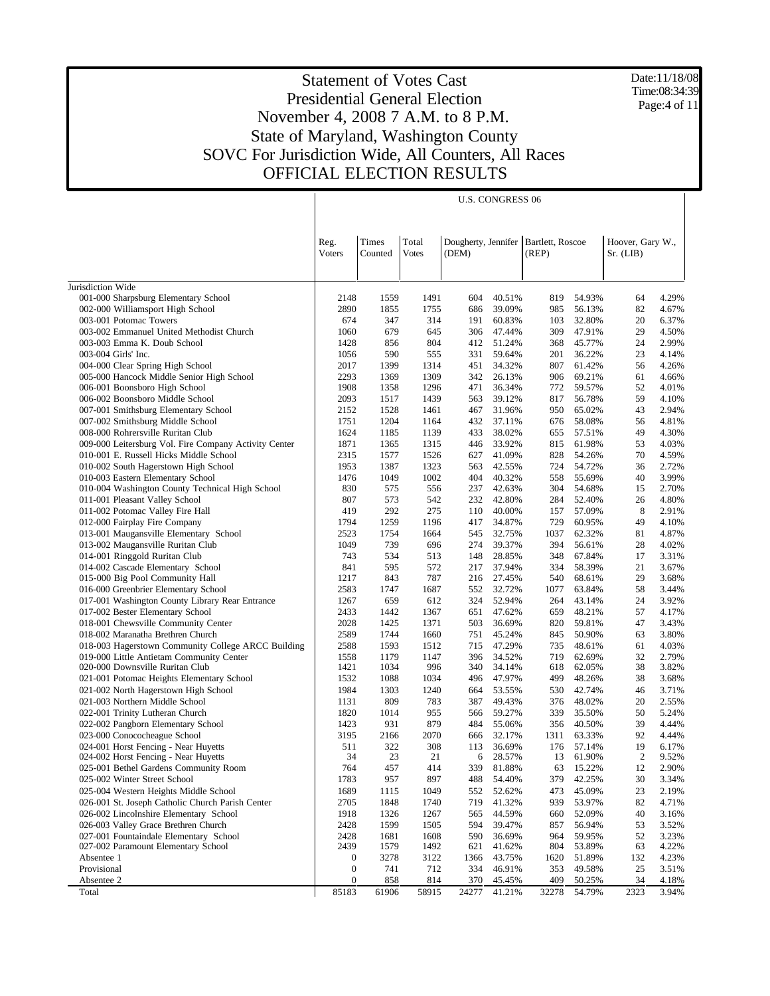Date:11/18/08 Time:08:34:39 Page:4 of 11

|                                                                            |                          |                  |                       |             | <b>U.S. CONGRESS 06</b> |                                               |                  |                               |                |
|----------------------------------------------------------------------------|--------------------------|------------------|-----------------------|-------------|-------------------------|-----------------------------------------------|------------------|-------------------------------|----------------|
|                                                                            | Reg.<br>Voters           | Times<br>Counted | Total<br><b>Votes</b> | (DEM)       |                         | Dougherty, Jennifer Bartlett, Roscoe<br>(REP) |                  | Hoover, Gary W.,<br>Sr. (LIB) |                |
| Jurisdiction Wide                                                          |                          |                  |                       |             |                         |                                               |                  |                               |                |
| 001-000 Sharpsburg Elementary School                                       | 2148                     | 1559             | 1491                  | 604         | 40.51%                  | 819                                           | 54.93%           | 64                            | 4.29%          |
| 002-000 Williamsport High School                                           | 2890                     | 1855             | 1755                  | 686         | 39.09%                  | 985                                           | 56.13%           | 82                            | 4.67%          |
| 003-001 Potomac Towers                                                     | 674                      | 347              | 314                   | 191         | 60.83%                  | 103                                           | 32.80%           | 20                            | 6.37%          |
| 003-002 Emmanuel United Methodist Church                                   | 1060                     | 679              | 645                   | 306         | 47.44%                  | 309                                           | 47.91%           | 29                            | 4.50%          |
| 003-003 Emma K. Doub School                                                | 1428                     | 856              | 804                   | 412         | 51.24%                  | 368                                           | 45.77%           | 24                            | 2.99%          |
| 003-004 Girls' Inc.                                                        | 1056                     | 590              | 555                   | 331         | 59.64%                  | 201                                           | 36.22%           | 23                            | 4.14%          |
| 004-000 Clear Spring High School                                           | 2017                     | 1399             | 1314                  | 451         | 34.32%                  | 807                                           | 61.42%           | 56                            | 4.26%          |
| 005-000 Hancock Middle Senior High School<br>006-001 Boonsboro High School | 2293<br>1908             | 1369<br>1358     | 1309<br>1296          | 342<br>471  | 26.13%<br>36.34%        | 906<br>772                                    | 69.21%<br>59.57% | 61<br>52                      | 4.66%<br>4.01% |
| 006-002 Boonsboro Middle School                                            | 2093                     | 1517             | 1439                  | 563         | 39.12%                  | 817                                           | 56.78%           | 59                            | 4.10%          |
| 007-001 Smithsburg Elementary School                                       | 2152                     | 1528             | 1461                  | 467         | 31.96%                  | 950                                           | 65.02%           | 43                            | 2.94%          |
| 007-002 Smithsburg Middle School                                           | 1751                     | 1204             | 1164                  | 432         | 37.11%                  | 676                                           | 58.08%           | 56                            | 4.81%          |
| 008-000 Rohrersville Ruritan Club                                          | 1624                     | 1185             | 1139                  | 433         | 38.02%                  | 655                                           | 57.51%           | 49                            | 4.30%          |
| 009-000 Leitersburg Vol. Fire Company Activity Center                      | 1871                     | 1365             | 1315                  | 446         | 33.92%                  | 815                                           | 61.98%           | 53                            | 4.03%          |
| 010-001 E. Russell Hicks Middle School                                     | 2315                     | 1577             | 1526                  | 627         | 41.09%                  | 828                                           | 54.26%           | 70                            | 4.59%          |
| 010-002 South Hagerstown High School                                       | 1953                     | 1387             | 1323                  | 563         | 42.55%                  | 724                                           | 54.72%           | 36                            | 2.72%          |
| 010-003 Eastern Elementary School                                          | 1476                     | 1049             | 1002                  | 404         | 40.32%                  | 558                                           | 55.69%           | 40                            | 3.99%          |
| 010-004 Washington County Technical High School                            | 830                      | 575              | 556                   | 237         | 42.63%                  | 304                                           | 54.68%           | 15                            | 2.70%          |
| 011-001 Pleasant Valley School                                             | 807                      | 573              | 542                   | 232         | 42.80%                  | 284                                           | 52.40%           | 26                            | 4.80%          |
| 011-002 Potomac Valley Fire Hall                                           | 419                      | 292              | 275                   | 110         | 40.00%                  | 157                                           | 57.09%           | 8                             | 2.91%          |
| 012-000 Fairplay Fire Company                                              | 1794                     | 1259             | 1196                  | 417         | 34.87%                  | 729                                           | 60.95%           | 49                            | 4.10%          |
| 013-001 Maugansville Elementary School                                     | 2523                     | 1754             | 1664                  | 545         | 32.75%                  | 1037                                          | 62.32%           | 81                            | 4.87%          |
| 013-002 Maugansville Ruritan Club<br>014-001 Ringgold Ruritan Club         | 1049<br>743              | 739<br>534       | 696<br>513            | 274<br>148  | 39.37%<br>28.85%        | 394<br>348                                    | 56.61%<br>67.84% | 28<br>17                      | 4.02%<br>3.31% |
| 014-002 Cascade Elementary School                                          | 841                      | 595              | 572                   | 217         | 37.94%                  | 334                                           | 58.39%           | 21                            | 3.67%          |
| 015-000 Big Pool Community Hall                                            | 1217                     | 843              | 787                   | 216         | 27.45%                  | 540                                           | 68.61%           | 29                            | 3.68%          |
| 016-000 Greenbrier Elementary School                                       | 2583                     | 1747             | 1687                  | 552         | 32.72%                  | 1077                                          | 63.84%           | 58                            | 3.44%          |
| 017-001 Washington County Library Rear Entrance                            | 1267                     | 659              | 612                   | 324         | 52.94%                  | 264                                           | 43.14%           | 24                            | 3.92%          |
| 017-002 Bester Elementary School                                           | 2433                     | 1442             | 1367                  | 651         | 47.62%                  | 659                                           | 48.21%           | 57                            | 4.17%          |
| 018-001 Chewsville Community Center                                        | 2028                     | 1425             | 1371                  | 503         | 36.69%                  | 820                                           | 59.81%           | 47                            | 3.43%          |
| 018-002 Maranatha Brethren Church                                          | 2589                     | 1744             | 1660                  | 751         | 45.24%                  | 845                                           | 50.90%           | 63                            | 3.80%          |
| 018-003 Hagerstown Community College ARCC Building                         | 2588                     | 1593             | 1512                  | 715         | 47.29%                  | 735                                           | 48.61%           | 61                            | 4.03%          |
| 019-000 Little Antietam Community Center                                   | 1558                     | 1179             | 1147                  | 396         | 34.52%                  | 719                                           | 62.69%           | 32                            | 2.79%          |
| 020-000 Downsville Ruritan Club                                            | 1421                     | 1034             | 996                   | 340         | 34.14%                  | 618                                           | 62.05%           | 38                            | 3.82%          |
| 021-001 Potomac Heights Elementary School                                  | 1532                     | 1088             | 1034                  | 496         | 47.97%                  | 499                                           | 48.26%           | 38                            | 3.68%          |
| 021-002 North Hagerstown High School<br>021-003 Northern Middle School     | 1984                     | 1303<br>809      | 1240                  | 664<br>387  | 53.55%<br>49.43%        | 530                                           | 42.74%           | 46                            | 3.71%          |
| 022-001 Trinity Lutheran Church                                            | 1131<br>1820             | 1014             | 783<br>955            | 566         | 59.27%                  | 376<br>339                                    | 48.02%<br>35.50% | 20<br>50                      | 2.55%<br>5.24% |
| 022-002 Pangborn Elementary School                                         | 1423                     | 931              | 879                   | 484         | 55.06%                  | 356                                           | 40.50%           | 39                            | 4.44%          |
| 023-000 Conococheague School                                               | 3195                     | 2166             | 2070                  | 666         | 32.17%                  | 1311                                          | 63.33%           | 92                            | 4.44%          |
| 024-001 Horst Fencing - Near Huyetts                                       | 511                      | 322              | 308                   | 113         | 36.69%                  | 176                                           | 57.14%           | 19                            | 6.17%          |
| 024-002 Horst Fencing - Near Huyetts                                       | 34                       | 23               | 21                    | 6           | 28.57%                  | 13                                            | 61.90%           | 2                             | 9.52%          |
| 025-001 Bethel Gardens Community Room                                      | 764                      | 457              | 414                   | 339         | 81.88%                  | 63                                            | 15.22%           | 12                            | 2.90%          |
| 025-002 Winter Street School                                               | 1783                     | 957              | 897                   | 488         | 54.40%                  | 379                                           | 42.25%           | 30                            | 3.34%          |
| 025-004 Western Heights Middle School                                      | 1689                     | 1115             | 1049                  | 552         | 52.62%                  | 473                                           | 45.09%           | 23                            | 2.19%          |
| 026-001 St. Joseph Catholic Church Parish Center                           | 2705                     | 1848             | 1740                  | 719         | 41.32%                  | 939                                           | 53.97%           | 82                            | 4.71%          |
| 026-002 Lincolnshire Elementary School                                     | 1918                     | 1326             | 1267                  | 565         | 44.59%                  | 660                                           | 52.09%           | 40                            | 3.16%          |
| 026-003 Valley Grace Brethren Church                                       | 2428                     | 1599             | 1505                  | 594         | 39.47%                  | 857                                           | 56.94%           | 53                            | 3.52%          |
| 027-001 Fountaindale Elementary School                                     | 2428                     | 1681             | 1608                  | 590         | 36.69%                  | 964                                           | 59.95%           | 52                            | 3.23%          |
| 027-002 Paramount Elementary School<br>Absentee 1                          | 2439<br>$\boldsymbol{0}$ | 1579             | 1492                  | 621         | 41.62%                  | 804                                           | 53.89%           | 63                            | 4.22%          |
| Provisional                                                                | $\boldsymbol{0}$         | 3278<br>741      | 3122<br>712           | 1366<br>334 | 43.75%<br>46.91%        | 1620<br>353                                   | 51.89%<br>49.58% | 132<br>25                     | 4.23%<br>3.51% |
| Absentee 2                                                                 | 0                        | 858              | 814                   | 370         | 45.45%                  | 409                                           | 50.25%           | 34                            | 4.18%          |
| Total                                                                      | 85183                    | 61906            | 58915                 | 24277       | 41.21%                  | 32278                                         | 54.79%           | 2323                          | 3.94%          |
|                                                                            |                          |                  |                       |             |                         |                                               |                  |                               |                |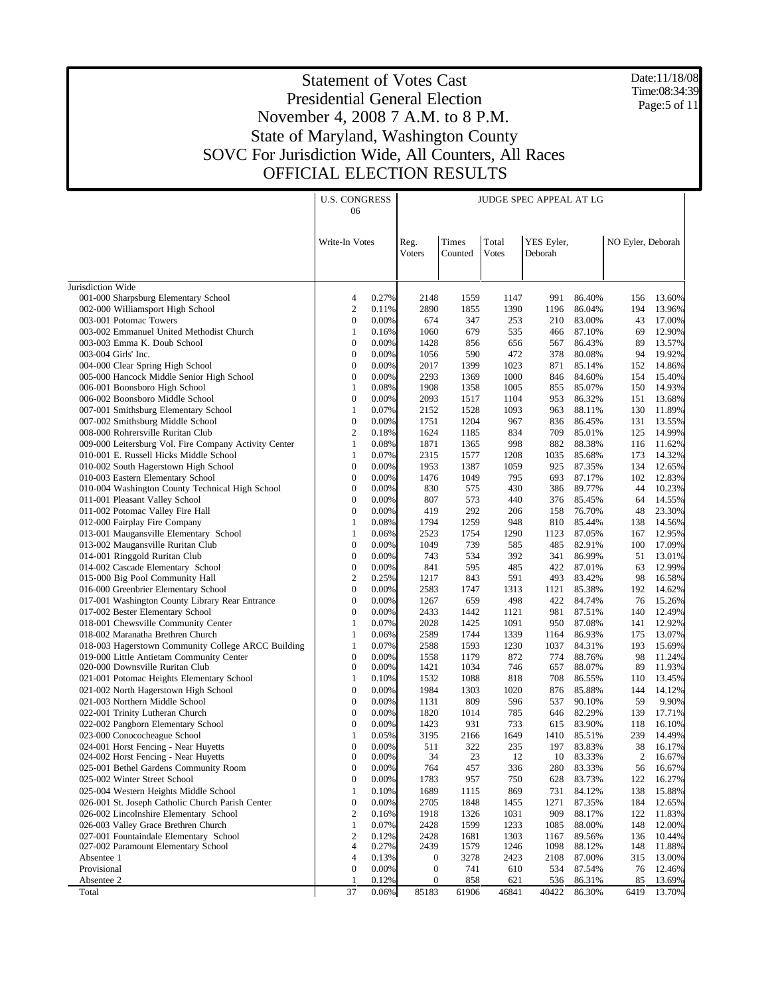Date:11/18/08 Time:08:34:39 Page:5 of 11

| Times<br>Total<br>YES Eyler,<br>NO Eyler, Deborah<br>Write-In Votes<br>Reg.<br>Voters<br>Counted<br><b>Votes</b><br>Deborah<br>Jurisdiction Wide<br>001-000 Sharpsburg Elementary School<br>0.27%<br>4<br>2148<br>1559<br>1147<br>991<br>86.40%<br>156<br>13.60%<br>002-000 Williamsport High School<br>$\overline{2}$<br>2890<br>1855<br>1390<br>86.04%<br>194<br>13.96%<br>0.11%<br>1196<br>003-001 Potomac Towers<br>$\boldsymbol{0}$<br>0.00%<br>253<br>83.00%<br>674<br>347<br>210<br>43<br>17.00%<br>003-002 Emmanuel United Methodist Church<br>$\mathbf{1}$<br>87.10%<br>69<br>12.90%<br>0.16%<br>1060<br>679<br>535<br>466<br>003-003 Emma K. Doub School<br>$\boldsymbol{0}$<br>0.00%<br>89<br>1428<br>856<br>656<br>567<br>86.43%<br>13.57%<br>$\boldsymbol{0}$<br>0.00%<br>1056<br>590<br>472<br>378<br>80.08%<br>94<br>19.92%<br>003-004 Girls' Inc.<br>$\boldsymbol{0}$<br>0.00%<br>2017<br>1023<br>85.14%<br>152<br>14.86%<br>004-000 Clear Spring High School<br>1399<br>871<br>005-000 Hancock Middle Senior High School<br>$\boldsymbol{0}$<br>0.00%<br>2293<br>1000<br>84.60%<br>154<br>15.40%<br>1369<br>846<br>006-001 Boonsboro High School<br>1<br>0.08%<br>1908<br>1005<br>85.07%<br>150<br>14.93%<br>1358<br>855<br>$\boldsymbol{0}$<br>006-002 Boonsboro Middle School<br>0.00%<br>2093<br>1517<br>1104<br>953<br>86.32%<br>151<br>13.68%<br>007-001 Smithsburg Elementary School<br>1<br>0.07%<br>2152<br>1528<br>1093<br>963<br>88.11%<br>130<br>11.89%<br>$\boldsymbol{0}$<br>007-002 Smithsburg Middle School<br>0.00%<br>1751<br>1204<br>967<br>836<br>86.45%<br>131<br>13.55%<br>$\boldsymbol{2}$<br>14.99%<br>008-000 Rohrersville Ruritan Club<br>0.18%<br>1624<br>834<br>709<br>85.01%<br>125<br>1185<br>$\mathbf{1}$<br>11.62%<br>009-000 Leitersburg Vol. Fire Company Activity Center<br>0.08%<br>1871<br>1365<br>998<br>882<br>88.38%<br>116<br>14.32%<br>010-001 E. Russell Hicks Middle School<br>1<br>0.07%<br>2315<br>1577<br>1208<br>1035<br>85.68%<br>173<br>$\boldsymbol{0}$<br>010-002 South Hagerstown High School<br>0.00%<br>1953<br>1387<br>1059<br>925<br>87.35%<br>134<br>12.65%<br>010-003 Eastern Elementary School<br>$\boldsymbol{0}$<br>0.00%<br>1476<br>1049<br>795<br>693<br>87.17%<br>102<br>12.83%<br>$\boldsymbol{0}$<br>0.00%<br>010-004 Washington County Technical High School<br>830<br>575<br>430<br>386<br>89.77%<br>44<br>10.23%<br>$\boldsymbol{0}$<br>0.00%<br>807<br>011-001 Pleasant Valley School<br>573<br>440<br>376<br>85.45%<br>64<br>14.55%<br>$\boldsymbol{0}$<br>0.00%<br>419<br>292<br>76.70%<br>48<br>23.30%<br>011-002 Potomac Valley Fire Hall<br>206<br>158<br>0.08%<br>1794<br>1259<br>14.56%<br>012-000 Fairplay Fire Company<br>1<br>948<br>810<br>85.44%<br>138<br>013-001 Maugansville Elementary School<br>$\mathbf{1}$<br>2523<br>1290<br>87.05%<br>12.95%<br>0.06%<br>1754<br>1123<br>167<br>013-002 Maugansville Ruritan Club<br>$\boldsymbol{0}$<br>0.00%<br>1049<br>739<br>585<br>485<br>82.91%<br>100<br>17.09%<br>014-001 Ringgold Ruritan Club<br>$\boldsymbol{0}$<br>0.00%<br>743<br>392<br>86.99%<br>13.01%<br>534<br>341<br>51<br>014-002 Cascade Elementary School<br>$\boldsymbol{0}$<br>0.00%<br>595<br>485<br>422<br>87.01%<br>63<br>12.99%<br>841<br>$\boldsymbol{2}$<br>015-000 Big Pool Community Hall<br>0.25%<br>1217<br>843<br>591<br>493<br>83.42%<br>98<br>16.58%<br>$\boldsymbol{0}$<br>2583<br>016-000 Greenbrier Elementary School<br>0.00%<br>1747<br>1313<br>1121<br>85.38%<br>192<br>14.62%<br>$\boldsymbol{0}$<br>84.74%<br>15.26%<br>017-001 Washington County Library Rear Entrance<br>0.00%<br>1267<br>659<br>498<br>422<br>76<br>017-002 Bester Elementary School<br>$\boldsymbol{0}$<br>0.00%<br>2433<br>87.51%<br>12.49%<br>1442<br>1121<br>981<br>140<br>018-001 Chewsville Community Center<br>2028<br>87.08%<br>12.92%<br>1<br>0.07%<br>1425<br>1091<br>950<br>141<br>018-002 Maranatha Brethren Church<br>$\mathbf{1}$<br>2589<br>1339<br>86.93%<br>13.07%<br>0.06%<br>1744<br>1164<br>175<br>018-003 Hagerstown Community College ARCC Building<br>2588<br>1230<br>15.69%<br>1<br>0.07%<br>1593<br>1037<br>84.31%<br>193<br>019-000 Little Antietam Community Center<br>$\boldsymbol{0}$<br>872<br>88.76%<br>98<br>11.24%<br>0.00%<br>1558<br>1179<br>774<br>$\boldsymbol{0}$<br>020-000 Downsville Ruritan Club<br>0.00%<br>1421<br>1034<br>746<br>657<br>88.07%<br>89<br>11.93%<br>$\mathbf{1}$<br>1532<br>1088<br>708<br>86.55%<br>021-001 Potomac Heights Elementary School<br>0.10%<br>818<br>110<br>13.45%<br>$\boldsymbol{0}$<br>0.00%<br>1984<br>85.88%<br>14.12%<br>021-002 North Hagerstown High School<br>1303<br>1020<br>876<br>144<br>021-003 Northern Middle School<br>$\boldsymbol{0}$<br>0.00%<br>809<br>596<br>90.10%<br>59<br>9.90%<br>1131<br>537<br>022-001 Trinity Lutheran Church<br>$\boldsymbol{0}$<br>82.29%<br>0.00%<br>1820<br>1014<br>785<br>139<br>17.71%<br>646<br>$\boldsymbol{0}$<br>0.00%<br>1423<br>931<br>733<br>83.90%<br>118<br>16.10%<br>022-002 Pangborn Elementary School<br>615<br>$\mathbf{1}$<br>3195<br>239<br>14.49%<br>023-000 Conococheague School<br>0.05%<br>2166<br>1649<br>1410<br>85.51%<br>38<br>024-001 Horst Fencing - Near Huyetts<br>$\mathbf{0}$<br>0.00%<br>511<br>322<br>235<br>197<br>83.83%<br>16.17%<br>024-002 Horst Fencing - Near Huyetts<br>0<br>0.00%<br>34<br>23<br>12<br>10<br>83.33%<br>2<br>16.67%<br>0.00%<br>025-001 Bethel Gardens Community Room<br>$\boldsymbol{0}$<br>764<br>457<br>336<br>280<br>83.33%<br>56<br>16.67%<br>$\boldsymbol{0}$<br>0.00%<br>025-002 Winter Street School<br>1783<br>957<br>628<br>83.73%<br>122<br>16.27%<br>750<br>025-004 Western Heights Middle School<br>1<br>0.10%<br>1689<br>1115<br>869<br>731<br>84.12%<br>138<br>15.88%<br>$\boldsymbol{0}$<br>026-001 St. Joseph Catholic Church Parish Center<br>0.00%<br>2705<br>1848<br>1271<br>87.35%<br>184<br>12.65%<br>1455<br>$\boldsymbol{2}$<br>909<br>026-002 Lincolnshire Elementary School<br>0.16%<br>1918<br>1326<br>1031<br>88.17%<br>122<br>11.83%<br>026-003 Valley Grace Brethren Church<br>$\mathbf{1}$<br>0.07%<br>2428<br>1599<br>1233<br>1085<br>88.00%<br>148<br>12.00%<br>027-001 Fountaindale Elementary School<br>$\boldsymbol{2}$<br>0.12%<br>2428<br>1681<br>1303<br>1167<br>89.56%<br>136<br>10.44%<br>$\overline{4}$<br>027-002 Paramount Elementary School<br>0.27%<br>2439<br>1579<br>88.12%<br>148<br>11.88%<br>1246<br>1098<br>$\overline{4}$<br>Absentee 1<br>0.13%<br>$\bf{0}$<br>3278<br>2423<br>2108<br>87.00%<br>315<br>13.00%<br>Provisional<br>$\boldsymbol{0}$<br>0.00%<br>$\mathbf{0}$<br>741<br>610<br>534<br>87.54%<br>76<br>12.46%<br>0.12%<br>858<br>536<br>85<br>Absentee 2<br>$\boldsymbol{0}$<br>621<br>86.31%<br>13.69%<br>-1<br>37<br>0.06%<br>85183<br>46841<br>40422<br>86.30%<br>6419<br>13.70%<br>Total<br>61906 | <b>U.S. CONGRESS</b><br>06 | <b>JUDGE SPEC APPEAL AT LG</b> |  |  |  |  |  |  |
|----------------------------------------------------------------------------------------------------------------------------------------------------------------------------------------------------------------------------------------------------------------------------------------------------------------------------------------------------------------------------------------------------------------------------------------------------------------------------------------------------------------------------------------------------------------------------------------------------------------------------------------------------------------------------------------------------------------------------------------------------------------------------------------------------------------------------------------------------------------------------------------------------------------------------------------------------------------------------------------------------------------------------------------------------------------------------------------------------------------------------------------------------------------------------------------------------------------------------------------------------------------------------------------------------------------------------------------------------------------------------------------------------------------------------------------------------------------------------------------------------------------------------------------------------------------------------------------------------------------------------------------------------------------------------------------------------------------------------------------------------------------------------------------------------------------------------------------------------------------------------------------------------------------------------------------------------------------------------------------------------------------------------------------------------------------------------------------------------------------------------------------------------------------------------------------------------------------------------------------------------------------------------------------------------------------------------------------------------------------------------------------------------------------------------------------------------------------------------------------------------------------------------------------------------------------------------------------------------------------------------------------------------------------------------------------------------------------------------------------------------------------------------------------------------------------------------------------------------------------------------------------------------------------------------------------------------------------------------------------------------------------------------------------------------------------------------------------------------------------------------------------------------------------------------------------------------------------------------------------------------------------------------------------------------------------------------------------------------------------------------------------------------------------------------------------------------------------------------------------------------------------------------------------------------------------------------------------------------------------------------------------------------------------------------------------------------------------------------------------------------------------------------------------------------------------------------------------------------------------------------------------------------------------------------------------------------------------------------------------------------------------------------------------------------------------------------------------------------------------------------------------------------------------------------------------------------------------------------------------------------------------------------------------------------------------------------------------------------------------------------------------------------------------------------------------------------------------------------------------------------------------------------------------------------------------------------------------------------------------------------------------------------------------------------------------------------------------------------------------------------------------------------------------------------------------------------------------------------------------------------------------------------------------------------------------------------------------------------------------------------------------------------------------------------------------------------------------------------------------------------------------------------------------------------------------------------------------------------------------------------------------------------------------------------------------------------------------------------------------------------------------------------------------------------------------------------------------------------------------------------------------------------------------------------------------------------------------------------------------------------------------------------------------------------------------------------------------------------------------------------------------------------------------------------------------------------------------------------------------------------------------------------------------------------------------------------------------------------------------------------------------------------------------------------------------------------------------------------------------------------------------------------------------------------------------------------------------------------------------------------------------------------------------------------------------------------------------------------------------------------------------------------------------------------------------------------------------------------------------------------------------------------------------------------------------------------------------------------------------------------------------------------------------------------------------------------------------------------------------------------------------------------------------------------------------------------------------------------------------------|----------------------------|--------------------------------|--|--|--|--|--|--|
|                                                                                                                                                                                                                                                                                                                                                                                                                                                                                                                                                                                                                                                                                                                                                                                                                                                                                                                                                                                                                                                                                                                                                                                                                                                                                                                                                                                                                                                                                                                                                                                                                                                                                                                                                                                                                                                                                                                                                                                                                                                                                                                                                                                                                                                                                                                                                                                                                                                                                                                                                                                                                                                                                                                                                                                                                                                                                                                                                                                                                                                                                                                                                                                                                                                                                                                                                                                                                                                                                                                                                                                                                                                                                                                                                                                                                                                                                                                                                                                                                                                                                                                                                                                                                                                                                                                                                                                                                                                                                                                                                                                                                                                                                                                                                                                                                                                                                                                                                                                                                                                                                                                                                                                                                                                                                                                                                                                                                                                                                                                                                                                                                                                                                                                                                                                                                                                                                                                                                                                                                                                                                                                                                                                                                                                                                                                                                                                                                                                                                                                                                                                                                                                                                                                                                                                                                                                                      |                            |                                |  |  |  |  |  |  |
|                                                                                                                                                                                                                                                                                                                                                                                                                                                                                                                                                                                                                                                                                                                                                                                                                                                                                                                                                                                                                                                                                                                                                                                                                                                                                                                                                                                                                                                                                                                                                                                                                                                                                                                                                                                                                                                                                                                                                                                                                                                                                                                                                                                                                                                                                                                                                                                                                                                                                                                                                                                                                                                                                                                                                                                                                                                                                                                                                                                                                                                                                                                                                                                                                                                                                                                                                                                                                                                                                                                                                                                                                                                                                                                                                                                                                                                                                                                                                                                                                                                                                                                                                                                                                                                                                                                                                                                                                                                                                                                                                                                                                                                                                                                                                                                                                                                                                                                                                                                                                                                                                                                                                                                                                                                                                                                                                                                                                                                                                                                                                                                                                                                                                                                                                                                                                                                                                                                                                                                                                                                                                                                                                                                                                                                                                                                                                                                                                                                                                                                                                                                                                                                                                                                                                                                                                                                                      |                            |                                |  |  |  |  |  |  |
|                                                                                                                                                                                                                                                                                                                                                                                                                                                                                                                                                                                                                                                                                                                                                                                                                                                                                                                                                                                                                                                                                                                                                                                                                                                                                                                                                                                                                                                                                                                                                                                                                                                                                                                                                                                                                                                                                                                                                                                                                                                                                                                                                                                                                                                                                                                                                                                                                                                                                                                                                                                                                                                                                                                                                                                                                                                                                                                                                                                                                                                                                                                                                                                                                                                                                                                                                                                                                                                                                                                                                                                                                                                                                                                                                                                                                                                                                                                                                                                                                                                                                                                                                                                                                                                                                                                                                                                                                                                                                                                                                                                                                                                                                                                                                                                                                                                                                                                                                                                                                                                                                                                                                                                                                                                                                                                                                                                                                                                                                                                                                                                                                                                                                                                                                                                                                                                                                                                                                                                                                                                                                                                                                                                                                                                                                                                                                                                                                                                                                                                                                                                                                                                                                                                                                                                                                                                                      |                            |                                |  |  |  |  |  |  |
|                                                                                                                                                                                                                                                                                                                                                                                                                                                                                                                                                                                                                                                                                                                                                                                                                                                                                                                                                                                                                                                                                                                                                                                                                                                                                                                                                                                                                                                                                                                                                                                                                                                                                                                                                                                                                                                                                                                                                                                                                                                                                                                                                                                                                                                                                                                                                                                                                                                                                                                                                                                                                                                                                                                                                                                                                                                                                                                                                                                                                                                                                                                                                                                                                                                                                                                                                                                                                                                                                                                                                                                                                                                                                                                                                                                                                                                                                                                                                                                                                                                                                                                                                                                                                                                                                                                                                                                                                                                                                                                                                                                                                                                                                                                                                                                                                                                                                                                                                                                                                                                                                                                                                                                                                                                                                                                                                                                                                                                                                                                                                                                                                                                                                                                                                                                                                                                                                                                                                                                                                                                                                                                                                                                                                                                                                                                                                                                                                                                                                                                                                                                                                                                                                                                                                                                                                                                                      |                            |                                |  |  |  |  |  |  |
|                                                                                                                                                                                                                                                                                                                                                                                                                                                                                                                                                                                                                                                                                                                                                                                                                                                                                                                                                                                                                                                                                                                                                                                                                                                                                                                                                                                                                                                                                                                                                                                                                                                                                                                                                                                                                                                                                                                                                                                                                                                                                                                                                                                                                                                                                                                                                                                                                                                                                                                                                                                                                                                                                                                                                                                                                                                                                                                                                                                                                                                                                                                                                                                                                                                                                                                                                                                                                                                                                                                                                                                                                                                                                                                                                                                                                                                                                                                                                                                                                                                                                                                                                                                                                                                                                                                                                                                                                                                                                                                                                                                                                                                                                                                                                                                                                                                                                                                                                                                                                                                                                                                                                                                                                                                                                                                                                                                                                                                                                                                                                                                                                                                                                                                                                                                                                                                                                                                                                                                                                                                                                                                                                                                                                                                                                                                                                                                                                                                                                                                                                                                                                                                                                                                                                                                                                                                                      |                            |                                |  |  |  |  |  |  |
|                                                                                                                                                                                                                                                                                                                                                                                                                                                                                                                                                                                                                                                                                                                                                                                                                                                                                                                                                                                                                                                                                                                                                                                                                                                                                                                                                                                                                                                                                                                                                                                                                                                                                                                                                                                                                                                                                                                                                                                                                                                                                                                                                                                                                                                                                                                                                                                                                                                                                                                                                                                                                                                                                                                                                                                                                                                                                                                                                                                                                                                                                                                                                                                                                                                                                                                                                                                                                                                                                                                                                                                                                                                                                                                                                                                                                                                                                                                                                                                                                                                                                                                                                                                                                                                                                                                                                                                                                                                                                                                                                                                                                                                                                                                                                                                                                                                                                                                                                                                                                                                                                                                                                                                                                                                                                                                                                                                                                                                                                                                                                                                                                                                                                                                                                                                                                                                                                                                                                                                                                                                                                                                                                                                                                                                                                                                                                                                                                                                                                                                                                                                                                                                                                                                                                                                                                                                                      |                            |                                |  |  |  |  |  |  |
|                                                                                                                                                                                                                                                                                                                                                                                                                                                                                                                                                                                                                                                                                                                                                                                                                                                                                                                                                                                                                                                                                                                                                                                                                                                                                                                                                                                                                                                                                                                                                                                                                                                                                                                                                                                                                                                                                                                                                                                                                                                                                                                                                                                                                                                                                                                                                                                                                                                                                                                                                                                                                                                                                                                                                                                                                                                                                                                                                                                                                                                                                                                                                                                                                                                                                                                                                                                                                                                                                                                                                                                                                                                                                                                                                                                                                                                                                                                                                                                                                                                                                                                                                                                                                                                                                                                                                                                                                                                                                                                                                                                                                                                                                                                                                                                                                                                                                                                                                                                                                                                                                                                                                                                                                                                                                                                                                                                                                                                                                                                                                                                                                                                                                                                                                                                                                                                                                                                                                                                                                                                                                                                                                                                                                                                                                                                                                                                                                                                                                                                                                                                                                                                                                                                                                                                                                                                                      |                            |                                |  |  |  |  |  |  |
|                                                                                                                                                                                                                                                                                                                                                                                                                                                                                                                                                                                                                                                                                                                                                                                                                                                                                                                                                                                                                                                                                                                                                                                                                                                                                                                                                                                                                                                                                                                                                                                                                                                                                                                                                                                                                                                                                                                                                                                                                                                                                                                                                                                                                                                                                                                                                                                                                                                                                                                                                                                                                                                                                                                                                                                                                                                                                                                                                                                                                                                                                                                                                                                                                                                                                                                                                                                                                                                                                                                                                                                                                                                                                                                                                                                                                                                                                                                                                                                                                                                                                                                                                                                                                                                                                                                                                                                                                                                                                                                                                                                                                                                                                                                                                                                                                                                                                                                                                                                                                                                                                                                                                                                                                                                                                                                                                                                                                                                                                                                                                                                                                                                                                                                                                                                                                                                                                                                                                                                                                                                                                                                                                                                                                                                                                                                                                                                                                                                                                                                                                                                                                                                                                                                                                                                                                                                                      |                            |                                |  |  |  |  |  |  |
|                                                                                                                                                                                                                                                                                                                                                                                                                                                                                                                                                                                                                                                                                                                                                                                                                                                                                                                                                                                                                                                                                                                                                                                                                                                                                                                                                                                                                                                                                                                                                                                                                                                                                                                                                                                                                                                                                                                                                                                                                                                                                                                                                                                                                                                                                                                                                                                                                                                                                                                                                                                                                                                                                                                                                                                                                                                                                                                                                                                                                                                                                                                                                                                                                                                                                                                                                                                                                                                                                                                                                                                                                                                                                                                                                                                                                                                                                                                                                                                                                                                                                                                                                                                                                                                                                                                                                                                                                                                                                                                                                                                                                                                                                                                                                                                                                                                                                                                                                                                                                                                                                                                                                                                                                                                                                                                                                                                                                                                                                                                                                                                                                                                                                                                                                                                                                                                                                                                                                                                                                                                                                                                                                                                                                                                                                                                                                                                                                                                                                                                                                                                                                                                                                                                                                                                                                                                                      |                            |                                |  |  |  |  |  |  |
|                                                                                                                                                                                                                                                                                                                                                                                                                                                                                                                                                                                                                                                                                                                                                                                                                                                                                                                                                                                                                                                                                                                                                                                                                                                                                                                                                                                                                                                                                                                                                                                                                                                                                                                                                                                                                                                                                                                                                                                                                                                                                                                                                                                                                                                                                                                                                                                                                                                                                                                                                                                                                                                                                                                                                                                                                                                                                                                                                                                                                                                                                                                                                                                                                                                                                                                                                                                                                                                                                                                                                                                                                                                                                                                                                                                                                                                                                                                                                                                                                                                                                                                                                                                                                                                                                                                                                                                                                                                                                                                                                                                                                                                                                                                                                                                                                                                                                                                                                                                                                                                                                                                                                                                                                                                                                                                                                                                                                                                                                                                                                                                                                                                                                                                                                                                                                                                                                                                                                                                                                                                                                                                                                                                                                                                                                                                                                                                                                                                                                                                                                                                                                                                                                                                                                                                                                                                                      |                            |                                |  |  |  |  |  |  |
|                                                                                                                                                                                                                                                                                                                                                                                                                                                                                                                                                                                                                                                                                                                                                                                                                                                                                                                                                                                                                                                                                                                                                                                                                                                                                                                                                                                                                                                                                                                                                                                                                                                                                                                                                                                                                                                                                                                                                                                                                                                                                                                                                                                                                                                                                                                                                                                                                                                                                                                                                                                                                                                                                                                                                                                                                                                                                                                                                                                                                                                                                                                                                                                                                                                                                                                                                                                                                                                                                                                                                                                                                                                                                                                                                                                                                                                                                                                                                                                                                                                                                                                                                                                                                                                                                                                                                                                                                                                                                                                                                                                                                                                                                                                                                                                                                                                                                                                                                                                                                                                                                                                                                                                                                                                                                                                                                                                                                                                                                                                                                                                                                                                                                                                                                                                                                                                                                                                                                                                                                                                                                                                                                                                                                                                                                                                                                                                                                                                                                                                                                                                                                                                                                                                                                                                                                                                                      |                            |                                |  |  |  |  |  |  |
|                                                                                                                                                                                                                                                                                                                                                                                                                                                                                                                                                                                                                                                                                                                                                                                                                                                                                                                                                                                                                                                                                                                                                                                                                                                                                                                                                                                                                                                                                                                                                                                                                                                                                                                                                                                                                                                                                                                                                                                                                                                                                                                                                                                                                                                                                                                                                                                                                                                                                                                                                                                                                                                                                                                                                                                                                                                                                                                                                                                                                                                                                                                                                                                                                                                                                                                                                                                                                                                                                                                                                                                                                                                                                                                                                                                                                                                                                                                                                                                                                                                                                                                                                                                                                                                                                                                                                                                                                                                                                                                                                                                                                                                                                                                                                                                                                                                                                                                                                                                                                                                                                                                                                                                                                                                                                                                                                                                                                                                                                                                                                                                                                                                                                                                                                                                                                                                                                                                                                                                                                                                                                                                                                                                                                                                                                                                                                                                                                                                                                                                                                                                                                                                                                                                                                                                                                                                                      |                            |                                |  |  |  |  |  |  |
|                                                                                                                                                                                                                                                                                                                                                                                                                                                                                                                                                                                                                                                                                                                                                                                                                                                                                                                                                                                                                                                                                                                                                                                                                                                                                                                                                                                                                                                                                                                                                                                                                                                                                                                                                                                                                                                                                                                                                                                                                                                                                                                                                                                                                                                                                                                                                                                                                                                                                                                                                                                                                                                                                                                                                                                                                                                                                                                                                                                                                                                                                                                                                                                                                                                                                                                                                                                                                                                                                                                                                                                                                                                                                                                                                                                                                                                                                                                                                                                                                                                                                                                                                                                                                                                                                                                                                                                                                                                                                                                                                                                                                                                                                                                                                                                                                                                                                                                                                                                                                                                                                                                                                                                                                                                                                                                                                                                                                                                                                                                                                                                                                                                                                                                                                                                                                                                                                                                                                                                                                                                                                                                                                                                                                                                                                                                                                                                                                                                                                                                                                                                                                                                                                                                                                                                                                                                                      |                            |                                |  |  |  |  |  |  |
|                                                                                                                                                                                                                                                                                                                                                                                                                                                                                                                                                                                                                                                                                                                                                                                                                                                                                                                                                                                                                                                                                                                                                                                                                                                                                                                                                                                                                                                                                                                                                                                                                                                                                                                                                                                                                                                                                                                                                                                                                                                                                                                                                                                                                                                                                                                                                                                                                                                                                                                                                                                                                                                                                                                                                                                                                                                                                                                                                                                                                                                                                                                                                                                                                                                                                                                                                                                                                                                                                                                                                                                                                                                                                                                                                                                                                                                                                                                                                                                                                                                                                                                                                                                                                                                                                                                                                                                                                                                                                                                                                                                                                                                                                                                                                                                                                                                                                                                                                                                                                                                                                                                                                                                                                                                                                                                                                                                                                                                                                                                                                                                                                                                                                                                                                                                                                                                                                                                                                                                                                                                                                                                                                                                                                                                                                                                                                                                                                                                                                                                                                                                                                                                                                                                                                                                                                                                                      |                            |                                |  |  |  |  |  |  |
|                                                                                                                                                                                                                                                                                                                                                                                                                                                                                                                                                                                                                                                                                                                                                                                                                                                                                                                                                                                                                                                                                                                                                                                                                                                                                                                                                                                                                                                                                                                                                                                                                                                                                                                                                                                                                                                                                                                                                                                                                                                                                                                                                                                                                                                                                                                                                                                                                                                                                                                                                                                                                                                                                                                                                                                                                                                                                                                                                                                                                                                                                                                                                                                                                                                                                                                                                                                                                                                                                                                                                                                                                                                                                                                                                                                                                                                                                                                                                                                                                                                                                                                                                                                                                                                                                                                                                                                                                                                                                                                                                                                                                                                                                                                                                                                                                                                                                                                                                                                                                                                                                                                                                                                                                                                                                                                                                                                                                                                                                                                                                                                                                                                                                                                                                                                                                                                                                                                                                                                                                                                                                                                                                                                                                                                                                                                                                                                                                                                                                                                                                                                                                                                                                                                                                                                                                                                                      |                            |                                |  |  |  |  |  |  |
|                                                                                                                                                                                                                                                                                                                                                                                                                                                                                                                                                                                                                                                                                                                                                                                                                                                                                                                                                                                                                                                                                                                                                                                                                                                                                                                                                                                                                                                                                                                                                                                                                                                                                                                                                                                                                                                                                                                                                                                                                                                                                                                                                                                                                                                                                                                                                                                                                                                                                                                                                                                                                                                                                                                                                                                                                                                                                                                                                                                                                                                                                                                                                                                                                                                                                                                                                                                                                                                                                                                                                                                                                                                                                                                                                                                                                                                                                                                                                                                                                                                                                                                                                                                                                                                                                                                                                                                                                                                                                                                                                                                                                                                                                                                                                                                                                                                                                                                                                                                                                                                                                                                                                                                                                                                                                                                                                                                                                                                                                                                                                                                                                                                                                                                                                                                                                                                                                                                                                                                                                                                                                                                                                                                                                                                                                                                                                                                                                                                                                                                                                                                                                                                                                                                                                                                                                                                                      |                            |                                |  |  |  |  |  |  |
|                                                                                                                                                                                                                                                                                                                                                                                                                                                                                                                                                                                                                                                                                                                                                                                                                                                                                                                                                                                                                                                                                                                                                                                                                                                                                                                                                                                                                                                                                                                                                                                                                                                                                                                                                                                                                                                                                                                                                                                                                                                                                                                                                                                                                                                                                                                                                                                                                                                                                                                                                                                                                                                                                                                                                                                                                                                                                                                                                                                                                                                                                                                                                                                                                                                                                                                                                                                                                                                                                                                                                                                                                                                                                                                                                                                                                                                                                                                                                                                                                                                                                                                                                                                                                                                                                                                                                                                                                                                                                                                                                                                                                                                                                                                                                                                                                                                                                                                                                                                                                                                                                                                                                                                                                                                                                                                                                                                                                                                                                                                                                                                                                                                                                                                                                                                                                                                                                                                                                                                                                                                                                                                                                                                                                                                                                                                                                                                                                                                                                                                                                                                                                                                                                                                                                                                                                                                                      |                            |                                |  |  |  |  |  |  |
|                                                                                                                                                                                                                                                                                                                                                                                                                                                                                                                                                                                                                                                                                                                                                                                                                                                                                                                                                                                                                                                                                                                                                                                                                                                                                                                                                                                                                                                                                                                                                                                                                                                                                                                                                                                                                                                                                                                                                                                                                                                                                                                                                                                                                                                                                                                                                                                                                                                                                                                                                                                                                                                                                                                                                                                                                                                                                                                                                                                                                                                                                                                                                                                                                                                                                                                                                                                                                                                                                                                                                                                                                                                                                                                                                                                                                                                                                                                                                                                                                                                                                                                                                                                                                                                                                                                                                                                                                                                                                                                                                                                                                                                                                                                                                                                                                                                                                                                                                                                                                                                                                                                                                                                                                                                                                                                                                                                                                                                                                                                                                                                                                                                                                                                                                                                                                                                                                                                                                                                                                                                                                                                                                                                                                                                                                                                                                                                                                                                                                                                                                                                                                                                                                                                                                                                                                                                                      |                            |                                |  |  |  |  |  |  |
|                                                                                                                                                                                                                                                                                                                                                                                                                                                                                                                                                                                                                                                                                                                                                                                                                                                                                                                                                                                                                                                                                                                                                                                                                                                                                                                                                                                                                                                                                                                                                                                                                                                                                                                                                                                                                                                                                                                                                                                                                                                                                                                                                                                                                                                                                                                                                                                                                                                                                                                                                                                                                                                                                                                                                                                                                                                                                                                                                                                                                                                                                                                                                                                                                                                                                                                                                                                                                                                                                                                                                                                                                                                                                                                                                                                                                                                                                                                                                                                                                                                                                                                                                                                                                                                                                                                                                                                                                                                                                                                                                                                                                                                                                                                                                                                                                                                                                                                                                                                                                                                                                                                                                                                                                                                                                                                                                                                                                                                                                                                                                                                                                                                                                                                                                                                                                                                                                                                                                                                                                                                                                                                                                                                                                                                                                                                                                                                                                                                                                                                                                                                                                                                                                                                                                                                                                                                                      |                            |                                |  |  |  |  |  |  |
|                                                                                                                                                                                                                                                                                                                                                                                                                                                                                                                                                                                                                                                                                                                                                                                                                                                                                                                                                                                                                                                                                                                                                                                                                                                                                                                                                                                                                                                                                                                                                                                                                                                                                                                                                                                                                                                                                                                                                                                                                                                                                                                                                                                                                                                                                                                                                                                                                                                                                                                                                                                                                                                                                                                                                                                                                                                                                                                                                                                                                                                                                                                                                                                                                                                                                                                                                                                                                                                                                                                                                                                                                                                                                                                                                                                                                                                                                                                                                                                                                                                                                                                                                                                                                                                                                                                                                                                                                                                                                                                                                                                                                                                                                                                                                                                                                                                                                                                                                                                                                                                                                                                                                                                                                                                                                                                                                                                                                                                                                                                                                                                                                                                                                                                                                                                                                                                                                                                                                                                                                                                                                                                                                                                                                                                                                                                                                                                                                                                                                                                                                                                                                                                                                                                                                                                                                                                                      |                            |                                |  |  |  |  |  |  |
|                                                                                                                                                                                                                                                                                                                                                                                                                                                                                                                                                                                                                                                                                                                                                                                                                                                                                                                                                                                                                                                                                                                                                                                                                                                                                                                                                                                                                                                                                                                                                                                                                                                                                                                                                                                                                                                                                                                                                                                                                                                                                                                                                                                                                                                                                                                                                                                                                                                                                                                                                                                                                                                                                                                                                                                                                                                                                                                                                                                                                                                                                                                                                                                                                                                                                                                                                                                                                                                                                                                                                                                                                                                                                                                                                                                                                                                                                                                                                                                                                                                                                                                                                                                                                                                                                                                                                                                                                                                                                                                                                                                                                                                                                                                                                                                                                                                                                                                                                                                                                                                                                                                                                                                                                                                                                                                                                                                                                                                                                                                                                                                                                                                                                                                                                                                                                                                                                                                                                                                                                                                                                                                                                                                                                                                                                                                                                                                                                                                                                                                                                                                                                                                                                                                                                                                                                                                                      |                            |                                |  |  |  |  |  |  |
|                                                                                                                                                                                                                                                                                                                                                                                                                                                                                                                                                                                                                                                                                                                                                                                                                                                                                                                                                                                                                                                                                                                                                                                                                                                                                                                                                                                                                                                                                                                                                                                                                                                                                                                                                                                                                                                                                                                                                                                                                                                                                                                                                                                                                                                                                                                                                                                                                                                                                                                                                                                                                                                                                                                                                                                                                                                                                                                                                                                                                                                                                                                                                                                                                                                                                                                                                                                                                                                                                                                                                                                                                                                                                                                                                                                                                                                                                                                                                                                                                                                                                                                                                                                                                                                                                                                                                                                                                                                                                                                                                                                                                                                                                                                                                                                                                                                                                                                                                                                                                                                                                                                                                                                                                                                                                                                                                                                                                                                                                                                                                                                                                                                                                                                                                                                                                                                                                                                                                                                                                                                                                                                                                                                                                                                                                                                                                                                                                                                                                                                                                                                                                                                                                                                                                                                                                                                                      |                            |                                |  |  |  |  |  |  |
|                                                                                                                                                                                                                                                                                                                                                                                                                                                                                                                                                                                                                                                                                                                                                                                                                                                                                                                                                                                                                                                                                                                                                                                                                                                                                                                                                                                                                                                                                                                                                                                                                                                                                                                                                                                                                                                                                                                                                                                                                                                                                                                                                                                                                                                                                                                                                                                                                                                                                                                                                                                                                                                                                                                                                                                                                                                                                                                                                                                                                                                                                                                                                                                                                                                                                                                                                                                                                                                                                                                                                                                                                                                                                                                                                                                                                                                                                                                                                                                                                                                                                                                                                                                                                                                                                                                                                                                                                                                                                                                                                                                                                                                                                                                                                                                                                                                                                                                                                                                                                                                                                                                                                                                                                                                                                                                                                                                                                                                                                                                                                                                                                                                                                                                                                                                                                                                                                                                                                                                                                                                                                                                                                                                                                                                                                                                                                                                                                                                                                                                                                                                                                                                                                                                                                                                                                                                                      |                            |                                |  |  |  |  |  |  |
|                                                                                                                                                                                                                                                                                                                                                                                                                                                                                                                                                                                                                                                                                                                                                                                                                                                                                                                                                                                                                                                                                                                                                                                                                                                                                                                                                                                                                                                                                                                                                                                                                                                                                                                                                                                                                                                                                                                                                                                                                                                                                                                                                                                                                                                                                                                                                                                                                                                                                                                                                                                                                                                                                                                                                                                                                                                                                                                                                                                                                                                                                                                                                                                                                                                                                                                                                                                                                                                                                                                                                                                                                                                                                                                                                                                                                                                                                                                                                                                                                                                                                                                                                                                                                                                                                                                                                                                                                                                                                                                                                                                                                                                                                                                                                                                                                                                                                                                                                                                                                                                                                                                                                                                                                                                                                                                                                                                                                                                                                                                                                                                                                                                                                                                                                                                                                                                                                                                                                                                                                                                                                                                                                                                                                                                                                                                                                                                                                                                                                                                                                                                                                                                                                                                                                                                                                                                                      |                            |                                |  |  |  |  |  |  |
|                                                                                                                                                                                                                                                                                                                                                                                                                                                                                                                                                                                                                                                                                                                                                                                                                                                                                                                                                                                                                                                                                                                                                                                                                                                                                                                                                                                                                                                                                                                                                                                                                                                                                                                                                                                                                                                                                                                                                                                                                                                                                                                                                                                                                                                                                                                                                                                                                                                                                                                                                                                                                                                                                                                                                                                                                                                                                                                                                                                                                                                                                                                                                                                                                                                                                                                                                                                                                                                                                                                                                                                                                                                                                                                                                                                                                                                                                                                                                                                                                                                                                                                                                                                                                                                                                                                                                                                                                                                                                                                                                                                                                                                                                                                                                                                                                                                                                                                                                                                                                                                                                                                                                                                                                                                                                                                                                                                                                                                                                                                                                                                                                                                                                                                                                                                                                                                                                                                                                                                                                                                                                                                                                                                                                                                                                                                                                                                                                                                                                                                                                                                                                                                                                                                                                                                                                                                                      |                            |                                |  |  |  |  |  |  |
|                                                                                                                                                                                                                                                                                                                                                                                                                                                                                                                                                                                                                                                                                                                                                                                                                                                                                                                                                                                                                                                                                                                                                                                                                                                                                                                                                                                                                                                                                                                                                                                                                                                                                                                                                                                                                                                                                                                                                                                                                                                                                                                                                                                                                                                                                                                                                                                                                                                                                                                                                                                                                                                                                                                                                                                                                                                                                                                                                                                                                                                                                                                                                                                                                                                                                                                                                                                                                                                                                                                                                                                                                                                                                                                                                                                                                                                                                                                                                                                                                                                                                                                                                                                                                                                                                                                                                                                                                                                                                                                                                                                                                                                                                                                                                                                                                                                                                                                                                                                                                                                                                                                                                                                                                                                                                                                                                                                                                                                                                                                                                                                                                                                                                                                                                                                                                                                                                                                                                                                                                                                                                                                                                                                                                                                                                                                                                                                                                                                                                                                                                                                                                                                                                                                                                                                                                                                                      |                            |                                |  |  |  |  |  |  |
|                                                                                                                                                                                                                                                                                                                                                                                                                                                                                                                                                                                                                                                                                                                                                                                                                                                                                                                                                                                                                                                                                                                                                                                                                                                                                                                                                                                                                                                                                                                                                                                                                                                                                                                                                                                                                                                                                                                                                                                                                                                                                                                                                                                                                                                                                                                                                                                                                                                                                                                                                                                                                                                                                                                                                                                                                                                                                                                                                                                                                                                                                                                                                                                                                                                                                                                                                                                                                                                                                                                                                                                                                                                                                                                                                                                                                                                                                                                                                                                                                                                                                                                                                                                                                                                                                                                                                                                                                                                                                                                                                                                                                                                                                                                                                                                                                                                                                                                                                                                                                                                                                                                                                                                                                                                                                                                                                                                                                                                                                                                                                                                                                                                                                                                                                                                                                                                                                                                                                                                                                                                                                                                                                                                                                                                                                                                                                                                                                                                                                                                                                                                                                                                                                                                                                                                                                                                                      |                            |                                |  |  |  |  |  |  |
|                                                                                                                                                                                                                                                                                                                                                                                                                                                                                                                                                                                                                                                                                                                                                                                                                                                                                                                                                                                                                                                                                                                                                                                                                                                                                                                                                                                                                                                                                                                                                                                                                                                                                                                                                                                                                                                                                                                                                                                                                                                                                                                                                                                                                                                                                                                                                                                                                                                                                                                                                                                                                                                                                                                                                                                                                                                                                                                                                                                                                                                                                                                                                                                                                                                                                                                                                                                                                                                                                                                                                                                                                                                                                                                                                                                                                                                                                                                                                                                                                                                                                                                                                                                                                                                                                                                                                                                                                                                                                                                                                                                                                                                                                                                                                                                                                                                                                                                                                                                                                                                                                                                                                                                                                                                                                                                                                                                                                                                                                                                                                                                                                                                                                                                                                                                                                                                                                                                                                                                                                                                                                                                                                                                                                                                                                                                                                                                                                                                                                                                                                                                                                                                                                                                                                                                                                                                                      |                            |                                |  |  |  |  |  |  |
|                                                                                                                                                                                                                                                                                                                                                                                                                                                                                                                                                                                                                                                                                                                                                                                                                                                                                                                                                                                                                                                                                                                                                                                                                                                                                                                                                                                                                                                                                                                                                                                                                                                                                                                                                                                                                                                                                                                                                                                                                                                                                                                                                                                                                                                                                                                                                                                                                                                                                                                                                                                                                                                                                                                                                                                                                                                                                                                                                                                                                                                                                                                                                                                                                                                                                                                                                                                                                                                                                                                                                                                                                                                                                                                                                                                                                                                                                                                                                                                                                                                                                                                                                                                                                                                                                                                                                                                                                                                                                                                                                                                                                                                                                                                                                                                                                                                                                                                                                                                                                                                                                                                                                                                                                                                                                                                                                                                                                                                                                                                                                                                                                                                                                                                                                                                                                                                                                                                                                                                                                                                                                                                                                                                                                                                                                                                                                                                                                                                                                                                                                                                                                                                                                                                                                                                                                                                                      |                            |                                |  |  |  |  |  |  |
|                                                                                                                                                                                                                                                                                                                                                                                                                                                                                                                                                                                                                                                                                                                                                                                                                                                                                                                                                                                                                                                                                                                                                                                                                                                                                                                                                                                                                                                                                                                                                                                                                                                                                                                                                                                                                                                                                                                                                                                                                                                                                                                                                                                                                                                                                                                                                                                                                                                                                                                                                                                                                                                                                                                                                                                                                                                                                                                                                                                                                                                                                                                                                                                                                                                                                                                                                                                                                                                                                                                                                                                                                                                                                                                                                                                                                                                                                                                                                                                                                                                                                                                                                                                                                                                                                                                                                                                                                                                                                                                                                                                                                                                                                                                                                                                                                                                                                                                                                                                                                                                                                                                                                                                                                                                                                                                                                                                                                                                                                                                                                                                                                                                                                                                                                                                                                                                                                                                                                                                                                                                                                                                                                                                                                                                                                                                                                                                                                                                                                                                                                                                                                                                                                                                                                                                                                                                                      |                            |                                |  |  |  |  |  |  |
|                                                                                                                                                                                                                                                                                                                                                                                                                                                                                                                                                                                                                                                                                                                                                                                                                                                                                                                                                                                                                                                                                                                                                                                                                                                                                                                                                                                                                                                                                                                                                                                                                                                                                                                                                                                                                                                                                                                                                                                                                                                                                                                                                                                                                                                                                                                                                                                                                                                                                                                                                                                                                                                                                                                                                                                                                                                                                                                                                                                                                                                                                                                                                                                                                                                                                                                                                                                                                                                                                                                                                                                                                                                                                                                                                                                                                                                                                                                                                                                                                                                                                                                                                                                                                                                                                                                                                                                                                                                                                                                                                                                                                                                                                                                                                                                                                                                                                                                                                                                                                                                                                                                                                                                                                                                                                                                                                                                                                                                                                                                                                                                                                                                                                                                                                                                                                                                                                                                                                                                                                                                                                                                                                                                                                                                                                                                                                                                                                                                                                                                                                                                                                                                                                                                                                                                                                                                                      |                            |                                |  |  |  |  |  |  |
|                                                                                                                                                                                                                                                                                                                                                                                                                                                                                                                                                                                                                                                                                                                                                                                                                                                                                                                                                                                                                                                                                                                                                                                                                                                                                                                                                                                                                                                                                                                                                                                                                                                                                                                                                                                                                                                                                                                                                                                                                                                                                                                                                                                                                                                                                                                                                                                                                                                                                                                                                                                                                                                                                                                                                                                                                                                                                                                                                                                                                                                                                                                                                                                                                                                                                                                                                                                                                                                                                                                                                                                                                                                                                                                                                                                                                                                                                                                                                                                                                                                                                                                                                                                                                                                                                                                                                                                                                                                                                                                                                                                                                                                                                                                                                                                                                                                                                                                                                                                                                                                                                                                                                                                                                                                                                                                                                                                                                                                                                                                                                                                                                                                                                                                                                                                                                                                                                                                                                                                                                                                                                                                                                                                                                                                                                                                                                                                                                                                                                                                                                                                                                                                                                                                                                                                                                                                                      |                            |                                |  |  |  |  |  |  |
|                                                                                                                                                                                                                                                                                                                                                                                                                                                                                                                                                                                                                                                                                                                                                                                                                                                                                                                                                                                                                                                                                                                                                                                                                                                                                                                                                                                                                                                                                                                                                                                                                                                                                                                                                                                                                                                                                                                                                                                                                                                                                                                                                                                                                                                                                                                                                                                                                                                                                                                                                                                                                                                                                                                                                                                                                                                                                                                                                                                                                                                                                                                                                                                                                                                                                                                                                                                                                                                                                                                                                                                                                                                                                                                                                                                                                                                                                                                                                                                                                                                                                                                                                                                                                                                                                                                                                                                                                                                                                                                                                                                                                                                                                                                                                                                                                                                                                                                                                                                                                                                                                                                                                                                                                                                                                                                                                                                                                                                                                                                                                                                                                                                                                                                                                                                                                                                                                                                                                                                                                                                                                                                                                                                                                                                                                                                                                                                                                                                                                                                                                                                                                                                                                                                                                                                                                                                                      |                            |                                |  |  |  |  |  |  |
|                                                                                                                                                                                                                                                                                                                                                                                                                                                                                                                                                                                                                                                                                                                                                                                                                                                                                                                                                                                                                                                                                                                                                                                                                                                                                                                                                                                                                                                                                                                                                                                                                                                                                                                                                                                                                                                                                                                                                                                                                                                                                                                                                                                                                                                                                                                                                                                                                                                                                                                                                                                                                                                                                                                                                                                                                                                                                                                                                                                                                                                                                                                                                                                                                                                                                                                                                                                                                                                                                                                                                                                                                                                                                                                                                                                                                                                                                                                                                                                                                                                                                                                                                                                                                                                                                                                                                                                                                                                                                                                                                                                                                                                                                                                                                                                                                                                                                                                                                                                                                                                                                                                                                                                                                                                                                                                                                                                                                                                                                                                                                                                                                                                                                                                                                                                                                                                                                                                                                                                                                                                                                                                                                                                                                                                                                                                                                                                                                                                                                                                                                                                                                                                                                                                                                                                                                                                                      |                            |                                |  |  |  |  |  |  |
|                                                                                                                                                                                                                                                                                                                                                                                                                                                                                                                                                                                                                                                                                                                                                                                                                                                                                                                                                                                                                                                                                                                                                                                                                                                                                                                                                                                                                                                                                                                                                                                                                                                                                                                                                                                                                                                                                                                                                                                                                                                                                                                                                                                                                                                                                                                                                                                                                                                                                                                                                                                                                                                                                                                                                                                                                                                                                                                                                                                                                                                                                                                                                                                                                                                                                                                                                                                                                                                                                                                                                                                                                                                                                                                                                                                                                                                                                                                                                                                                                                                                                                                                                                                                                                                                                                                                                                                                                                                                                                                                                                                                                                                                                                                                                                                                                                                                                                                                                                                                                                                                                                                                                                                                                                                                                                                                                                                                                                                                                                                                                                                                                                                                                                                                                                                                                                                                                                                                                                                                                                                                                                                                                                                                                                                                                                                                                                                                                                                                                                                                                                                                                                                                                                                                                                                                                                                                      |                            |                                |  |  |  |  |  |  |
|                                                                                                                                                                                                                                                                                                                                                                                                                                                                                                                                                                                                                                                                                                                                                                                                                                                                                                                                                                                                                                                                                                                                                                                                                                                                                                                                                                                                                                                                                                                                                                                                                                                                                                                                                                                                                                                                                                                                                                                                                                                                                                                                                                                                                                                                                                                                                                                                                                                                                                                                                                                                                                                                                                                                                                                                                                                                                                                                                                                                                                                                                                                                                                                                                                                                                                                                                                                                                                                                                                                                                                                                                                                                                                                                                                                                                                                                                                                                                                                                                                                                                                                                                                                                                                                                                                                                                                                                                                                                                                                                                                                                                                                                                                                                                                                                                                                                                                                                                                                                                                                                                                                                                                                                                                                                                                                                                                                                                                                                                                                                                                                                                                                                                                                                                                                                                                                                                                                                                                                                                                                                                                                                                                                                                                                                                                                                                                                                                                                                                                                                                                                                                                                                                                                                                                                                                                                                      |                            |                                |  |  |  |  |  |  |
|                                                                                                                                                                                                                                                                                                                                                                                                                                                                                                                                                                                                                                                                                                                                                                                                                                                                                                                                                                                                                                                                                                                                                                                                                                                                                                                                                                                                                                                                                                                                                                                                                                                                                                                                                                                                                                                                                                                                                                                                                                                                                                                                                                                                                                                                                                                                                                                                                                                                                                                                                                                                                                                                                                                                                                                                                                                                                                                                                                                                                                                                                                                                                                                                                                                                                                                                                                                                                                                                                                                                                                                                                                                                                                                                                                                                                                                                                                                                                                                                                                                                                                                                                                                                                                                                                                                                                                                                                                                                                                                                                                                                                                                                                                                                                                                                                                                                                                                                                                                                                                                                                                                                                                                                                                                                                                                                                                                                                                                                                                                                                                                                                                                                                                                                                                                                                                                                                                                                                                                                                                                                                                                                                                                                                                                                                                                                                                                                                                                                                                                                                                                                                                                                                                                                                                                                                                                                      |                            |                                |  |  |  |  |  |  |
|                                                                                                                                                                                                                                                                                                                                                                                                                                                                                                                                                                                                                                                                                                                                                                                                                                                                                                                                                                                                                                                                                                                                                                                                                                                                                                                                                                                                                                                                                                                                                                                                                                                                                                                                                                                                                                                                                                                                                                                                                                                                                                                                                                                                                                                                                                                                                                                                                                                                                                                                                                                                                                                                                                                                                                                                                                                                                                                                                                                                                                                                                                                                                                                                                                                                                                                                                                                                                                                                                                                                                                                                                                                                                                                                                                                                                                                                                                                                                                                                                                                                                                                                                                                                                                                                                                                                                                                                                                                                                                                                                                                                                                                                                                                                                                                                                                                                                                                                                                                                                                                                                                                                                                                                                                                                                                                                                                                                                                                                                                                                                                                                                                                                                                                                                                                                                                                                                                                                                                                                                                                                                                                                                                                                                                                                                                                                                                                                                                                                                                                                                                                                                                                                                                                                                                                                                                                                      |                            |                                |  |  |  |  |  |  |
|                                                                                                                                                                                                                                                                                                                                                                                                                                                                                                                                                                                                                                                                                                                                                                                                                                                                                                                                                                                                                                                                                                                                                                                                                                                                                                                                                                                                                                                                                                                                                                                                                                                                                                                                                                                                                                                                                                                                                                                                                                                                                                                                                                                                                                                                                                                                                                                                                                                                                                                                                                                                                                                                                                                                                                                                                                                                                                                                                                                                                                                                                                                                                                                                                                                                                                                                                                                                                                                                                                                                                                                                                                                                                                                                                                                                                                                                                                                                                                                                                                                                                                                                                                                                                                                                                                                                                                                                                                                                                                                                                                                                                                                                                                                                                                                                                                                                                                                                                                                                                                                                                                                                                                                                                                                                                                                                                                                                                                                                                                                                                                                                                                                                                                                                                                                                                                                                                                                                                                                                                                                                                                                                                                                                                                                                                                                                                                                                                                                                                                                                                                                                                                                                                                                                                                                                                                                                      |                            |                                |  |  |  |  |  |  |
|                                                                                                                                                                                                                                                                                                                                                                                                                                                                                                                                                                                                                                                                                                                                                                                                                                                                                                                                                                                                                                                                                                                                                                                                                                                                                                                                                                                                                                                                                                                                                                                                                                                                                                                                                                                                                                                                                                                                                                                                                                                                                                                                                                                                                                                                                                                                                                                                                                                                                                                                                                                                                                                                                                                                                                                                                                                                                                                                                                                                                                                                                                                                                                                                                                                                                                                                                                                                                                                                                                                                                                                                                                                                                                                                                                                                                                                                                                                                                                                                                                                                                                                                                                                                                                                                                                                                                                                                                                                                                                                                                                                                                                                                                                                                                                                                                                                                                                                                                                                                                                                                                                                                                                                                                                                                                                                                                                                                                                                                                                                                                                                                                                                                                                                                                                                                                                                                                                                                                                                                                                                                                                                                                                                                                                                                                                                                                                                                                                                                                                                                                                                                                                                                                                                                                                                                                                                                      |                            |                                |  |  |  |  |  |  |
|                                                                                                                                                                                                                                                                                                                                                                                                                                                                                                                                                                                                                                                                                                                                                                                                                                                                                                                                                                                                                                                                                                                                                                                                                                                                                                                                                                                                                                                                                                                                                                                                                                                                                                                                                                                                                                                                                                                                                                                                                                                                                                                                                                                                                                                                                                                                                                                                                                                                                                                                                                                                                                                                                                                                                                                                                                                                                                                                                                                                                                                                                                                                                                                                                                                                                                                                                                                                                                                                                                                                                                                                                                                                                                                                                                                                                                                                                                                                                                                                                                                                                                                                                                                                                                                                                                                                                                                                                                                                                                                                                                                                                                                                                                                                                                                                                                                                                                                                                                                                                                                                                                                                                                                                                                                                                                                                                                                                                                                                                                                                                                                                                                                                                                                                                                                                                                                                                                                                                                                                                                                                                                                                                                                                                                                                                                                                                                                                                                                                                                                                                                                                                                                                                                                                                                                                                                                                      |                            |                                |  |  |  |  |  |  |
|                                                                                                                                                                                                                                                                                                                                                                                                                                                                                                                                                                                                                                                                                                                                                                                                                                                                                                                                                                                                                                                                                                                                                                                                                                                                                                                                                                                                                                                                                                                                                                                                                                                                                                                                                                                                                                                                                                                                                                                                                                                                                                                                                                                                                                                                                                                                                                                                                                                                                                                                                                                                                                                                                                                                                                                                                                                                                                                                                                                                                                                                                                                                                                                                                                                                                                                                                                                                                                                                                                                                                                                                                                                                                                                                                                                                                                                                                                                                                                                                                                                                                                                                                                                                                                                                                                                                                                                                                                                                                                                                                                                                                                                                                                                                                                                                                                                                                                                                                                                                                                                                                                                                                                                                                                                                                                                                                                                                                                                                                                                                                                                                                                                                                                                                                                                                                                                                                                                                                                                                                                                                                                                                                                                                                                                                                                                                                                                                                                                                                                                                                                                                                                                                                                                                                                                                                                                                      |                            |                                |  |  |  |  |  |  |
|                                                                                                                                                                                                                                                                                                                                                                                                                                                                                                                                                                                                                                                                                                                                                                                                                                                                                                                                                                                                                                                                                                                                                                                                                                                                                                                                                                                                                                                                                                                                                                                                                                                                                                                                                                                                                                                                                                                                                                                                                                                                                                                                                                                                                                                                                                                                                                                                                                                                                                                                                                                                                                                                                                                                                                                                                                                                                                                                                                                                                                                                                                                                                                                                                                                                                                                                                                                                                                                                                                                                                                                                                                                                                                                                                                                                                                                                                                                                                                                                                                                                                                                                                                                                                                                                                                                                                                                                                                                                                                                                                                                                                                                                                                                                                                                                                                                                                                                                                                                                                                                                                                                                                                                                                                                                                                                                                                                                                                                                                                                                                                                                                                                                                                                                                                                                                                                                                                                                                                                                                                                                                                                                                                                                                                                                                                                                                                                                                                                                                                                                                                                                                                                                                                                                                                                                                                                                      |                            |                                |  |  |  |  |  |  |
|                                                                                                                                                                                                                                                                                                                                                                                                                                                                                                                                                                                                                                                                                                                                                                                                                                                                                                                                                                                                                                                                                                                                                                                                                                                                                                                                                                                                                                                                                                                                                                                                                                                                                                                                                                                                                                                                                                                                                                                                                                                                                                                                                                                                                                                                                                                                                                                                                                                                                                                                                                                                                                                                                                                                                                                                                                                                                                                                                                                                                                                                                                                                                                                                                                                                                                                                                                                                                                                                                                                                                                                                                                                                                                                                                                                                                                                                                                                                                                                                                                                                                                                                                                                                                                                                                                                                                                                                                                                                                                                                                                                                                                                                                                                                                                                                                                                                                                                                                                                                                                                                                                                                                                                                                                                                                                                                                                                                                                                                                                                                                                                                                                                                                                                                                                                                                                                                                                                                                                                                                                                                                                                                                                                                                                                                                                                                                                                                                                                                                                                                                                                                                                                                                                                                                                                                                                                                      |                            |                                |  |  |  |  |  |  |
|                                                                                                                                                                                                                                                                                                                                                                                                                                                                                                                                                                                                                                                                                                                                                                                                                                                                                                                                                                                                                                                                                                                                                                                                                                                                                                                                                                                                                                                                                                                                                                                                                                                                                                                                                                                                                                                                                                                                                                                                                                                                                                                                                                                                                                                                                                                                                                                                                                                                                                                                                                                                                                                                                                                                                                                                                                                                                                                                                                                                                                                                                                                                                                                                                                                                                                                                                                                                                                                                                                                                                                                                                                                                                                                                                                                                                                                                                                                                                                                                                                                                                                                                                                                                                                                                                                                                                                                                                                                                                                                                                                                                                                                                                                                                                                                                                                                                                                                                                                                                                                                                                                                                                                                                                                                                                                                                                                                                                                                                                                                                                                                                                                                                                                                                                                                                                                                                                                                                                                                                                                                                                                                                                                                                                                                                                                                                                                                                                                                                                                                                                                                                                                                                                                                                                                                                                                                                      |                            |                                |  |  |  |  |  |  |
|                                                                                                                                                                                                                                                                                                                                                                                                                                                                                                                                                                                                                                                                                                                                                                                                                                                                                                                                                                                                                                                                                                                                                                                                                                                                                                                                                                                                                                                                                                                                                                                                                                                                                                                                                                                                                                                                                                                                                                                                                                                                                                                                                                                                                                                                                                                                                                                                                                                                                                                                                                                                                                                                                                                                                                                                                                                                                                                                                                                                                                                                                                                                                                                                                                                                                                                                                                                                                                                                                                                                                                                                                                                                                                                                                                                                                                                                                                                                                                                                                                                                                                                                                                                                                                                                                                                                                                                                                                                                                                                                                                                                                                                                                                                                                                                                                                                                                                                                                                                                                                                                                                                                                                                                                                                                                                                                                                                                                                                                                                                                                                                                                                                                                                                                                                                                                                                                                                                                                                                                                                                                                                                                                                                                                                                                                                                                                                                                                                                                                                                                                                                                                                                                                                                                                                                                                                                                      |                            |                                |  |  |  |  |  |  |
|                                                                                                                                                                                                                                                                                                                                                                                                                                                                                                                                                                                                                                                                                                                                                                                                                                                                                                                                                                                                                                                                                                                                                                                                                                                                                                                                                                                                                                                                                                                                                                                                                                                                                                                                                                                                                                                                                                                                                                                                                                                                                                                                                                                                                                                                                                                                                                                                                                                                                                                                                                                                                                                                                                                                                                                                                                                                                                                                                                                                                                                                                                                                                                                                                                                                                                                                                                                                                                                                                                                                                                                                                                                                                                                                                                                                                                                                                                                                                                                                                                                                                                                                                                                                                                                                                                                                                                                                                                                                                                                                                                                                                                                                                                                                                                                                                                                                                                                                                                                                                                                                                                                                                                                                                                                                                                                                                                                                                                                                                                                                                                                                                                                                                                                                                                                                                                                                                                                                                                                                                                                                                                                                                                                                                                                                                                                                                                                                                                                                                                                                                                                                                                                                                                                                                                                                                                                                      |                            |                                |  |  |  |  |  |  |
|                                                                                                                                                                                                                                                                                                                                                                                                                                                                                                                                                                                                                                                                                                                                                                                                                                                                                                                                                                                                                                                                                                                                                                                                                                                                                                                                                                                                                                                                                                                                                                                                                                                                                                                                                                                                                                                                                                                                                                                                                                                                                                                                                                                                                                                                                                                                                                                                                                                                                                                                                                                                                                                                                                                                                                                                                                                                                                                                                                                                                                                                                                                                                                                                                                                                                                                                                                                                                                                                                                                                                                                                                                                                                                                                                                                                                                                                                                                                                                                                                                                                                                                                                                                                                                                                                                                                                                                                                                                                                                                                                                                                                                                                                                                                                                                                                                                                                                                                                                                                                                                                                                                                                                                                                                                                                                                                                                                                                                                                                                                                                                                                                                                                                                                                                                                                                                                                                                                                                                                                                                                                                                                                                                                                                                                                                                                                                                                                                                                                                                                                                                                                                                                                                                                                                                                                                                                                      |                            |                                |  |  |  |  |  |  |
|                                                                                                                                                                                                                                                                                                                                                                                                                                                                                                                                                                                                                                                                                                                                                                                                                                                                                                                                                                                                                                                                                                                                                                                                                                                                                                                                                                                                                                                                                                                                                                                                                                                                                                                                                                                                                                                                                                                                                                                                                                                                                                                                                                                                                                                                                                                                                                                                                                                                                                                                                                                                                                                                                                                                                                                                                                                                                                                                                                                                                                                                                                                                                                                                                                                                                                                                                                                                                                                                                                                                                                                                                                                                                                                                                                                                                                                                                                                                                                                                                                                                                                                                                                                                                                                                                                                                                                                                                                                                                                                                                                                                                                                                                                                                                                                                                                                                                                                                                                                                                                                                                                                                                                                                                                                                                                                                                                                                                                                                                                                                                                                                                                                                                                                                                                                                                                                                                                                                                                                                                                                                                                                                                                                                                                                                                                                                                                                                                                                                                                                                                                                                                                                                                                                                                                                                                                                                      |                            |                                |  |  |  |  |  |  |
|                                                                                                                                                                                                                                                                                                                                                                                                                                                                                                                                                                                                                                                                                                                                                                                                                                                                                                                                                                                                                                                                                                                                                                                                                                                                                                                                                                                                                                                                                                                                                                                                                                                                                                                                                                                                                                                                                                                                                                                                                                                                                                                                                                                                                                                                                                                                                                                                                                                                                                                                                                                                                                                                                                                                                                                                                                                                                                                                                                                                                                                                                                                                                                                                                                                                                                                                                                                                                                                                                                                                                                                                                                                                                                                                                                                                                                                                                                                                                                                                                                                                                                                                                                                                                                                                                                                                                                                                                                                                                                                                                                                                                                                                                                                                                                                                                                                                                                                                                                                                                                                                                                                                                                                                                                                                                                                                                                                                                                                                                                                                                                                                                                                                                                                                                                                                                                                                                                                                                                                                                                                                                                                                                                                                                                                                                                                                                                                                                                                                                                                                                                                                                                                                                                                                                                                                                                                                      |                            |                                |  |  |  |  |  |  |
|                                                                                                                                                                                                                                                                                                                                                                                                                                                                                                                                                                                                                                                                                                                                                                                                                                                                                                                                                                                                                                                                                                                                                                                                                                                                                                                                                                                                                                                                                                                                                                                                                                                                                                                                                                                                                                                                                                                                                                                                                                                                                                                                                                                                                                                                                                                                                                                                                                                                                                                                                                                                                                                                                                                                                                                                                                                                                                                                                                                                                                                                                                                                                                                                                                                                                                                                                                                                                                                                                                                                                                                                                                                                                                                                                                                                                                                                                                                                                                                                                                                                                                                                                                                                                                                                                                                                                                                                                                                                                                                                                                                                                                                                                                                                                                                                                                                                                                                                                                                                                                                                                                                                                                                                                                                                                                                                                                                                                                                                                                                                                                                                                                                                                                                                                                                                                                                                                                                                                                                                                                                                                                                                                                                                                                                                                                                                                                                                                                                                                                                                                                                                                                                                                                                                                                                                                                                                      |                            |                                |  |  |  |  |  |  |
|                                                                                                                                                                                                                                                                                                                                                                                                                                                                                                                                                                                                                                                                                                                                                                                                                                                                                                                                                                                                                                                                                                                                                                                                                                                                                                                                                                                                                                                                                                                                                                                                                                                                                                                                                                                                                                                                                                                                                                                                                                                                                                                                                                                                                                                                                                                                                                                                                                                                                                                                                                                                                                                                                                                                                                                                                                                                                                                                                                                                                                                                                                                                                                                                                                                                                                                                                                                                                                                                                                                                                                                                                                                                                                                                                                                                                                                                                                                                                                                                                                                                                                                                                                                                                                                                                                                                                                                                                                                                                                                                                                                                                                                                                                                                                                                                                                                                                                                                                                                                                                                                                                                                                                                                                                                                                                                                                                                                                                                                                                                                                                                                                                                                                                                                                                                                                                                                                                                                                                                                                                                                                                                                                                                                                                                                                                                                                                                                                                                                                                                                                                                                                                                                                                                                                                                                                                                                      |                            |                                |  |  |  |  |  |  |
|                                                                                                                                                                                                                                                                                                                                                                                                                                                                                                                                                                                                                                                                                                                                                                                                                                                                                                                                                                                                                                                                                                                                                                                                                                                                                                                                                                                                                                                                                                                                                                                                                                                                                                                                                                                                                                                                                                                                                                                                                                                                                                                                                                                                                                                                                                                                                                                                                                                                                                                                                                                                                                                                                                                                                                                                                                                                                                                                                                                                                                                                                                                                                                                                                                                                                                                                                                                                                                                                                                                                                                                                                                                                                                                                                                                                                                                                                                                                                                                                                                                                                                                                                                                                                                                                                                                                                                                                                                                                                                                                                                                                                                                                                                                                                                                                                                                                                                                                                                                                                                                                                                                                                                                                                                                                                                                                                                                                                                                                                                                                                                                                                                                                                                                                                                                                                                                                                                                                                                                                                                                                                                                                                                                                                                                                                                                                                                                                                                                                                                                                                                                                                                                                                                                                                                                                                                                                      |                            |                                |  |  |  |  |  |  |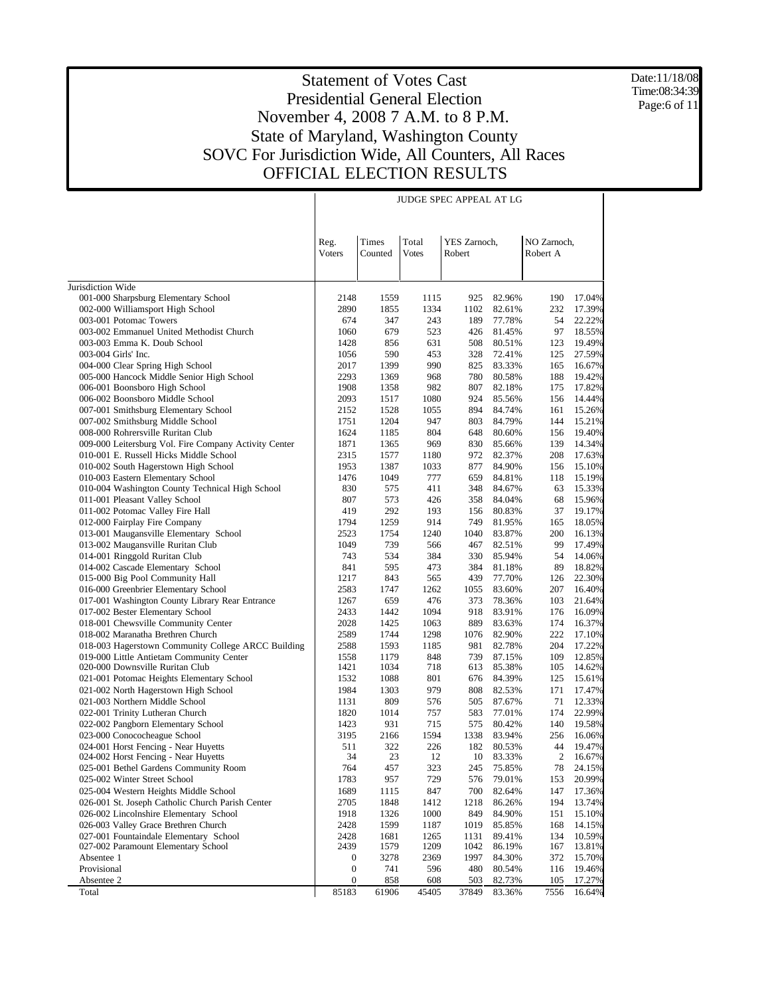Date:11/18/08 Time:08:34:39 Page:6 of 11

|                                                                                                | <b>JUDGE SPEC APPEAL AT LG</b> |                  |                       |                        |                  |                               |                  |  |  |
|------------------------------------------------------------------------------------------------|--------------------------------|------------------|-----------------------|------------------------|------------------|-------------------------------|------------------|--|--|
|                                                                                                |                                |                  |                       |                        |                  |                               |                  |  |  |
|                                                                                                | Reg.<br><b>Voters</b>          | Times<br>Counted | Total<br><b>Votes</b> | YES Zarnoch,<br>Robert |                  | NO Zarnoch,<br>Robert A       |                  |  |  |
|                                                                                                |                                |                  |                       |                        |                  |                               |                  |  |  |
|                                                                                                |                                |                  |                       |                        |                  |                               |                  |  |  |
| Jurisdiction Wide<br>001-000 Sharpsburg Elementary School                                      | 2148                           | 1559             | 1115                  | 925                    | 82.96%           | 190                           | 17.04%           |  |  |
| 002-000 Williamsport High School                                                               | 2890                           | 1855             | 1334                  | 1102                   | 82.61%           | 232                           | 17.39%           |  |  |
| 003-001 Potomac Towers                                                                         | 674                            | 347              | 243                   | 189                    | 77.78%           | 54                            | 22.22%           |  |  |
| 003-002 Emmanuel United Methodist Church                                                       | 1060                           | 679              | 523                   | 426                    | 81.45%           | 97                            | 18.55%           |  |  |
| 003-003 Emma K. Doub School                                                                    | 1428                           | 856              | 631                   | 508                    | 80.51%           | 123                           | 19.49%           |  |  |
| 003-004 Girls' Inc.                                                                            | 1056                           | 590              | 453                   | 328                    | 72.41%           | 125                           | 27.59%           |  |  |
| 004-000 Clear Spring High School                                                               | 2017                           | 1399             | 990                   | 825                    | 83.33%           | 165                           | 16.67%           |  |  |
| 005-000 Hancock Middle Senior High School                                                      | 2293                           | 1369             | 968                   | 780                    | 80.58%           | 188                           | 19.42%           |  |  |
| 006-001 Boonsboro High School                                                                  | 1908                           | 1358             | 982                   | 807                    | 82.18%           | 175                           | 17.82%           |  |  |
| 006-002 Boonsboro Middle School                                                                | 2093<br>2152                   | 1517<br>1528     | 1080<br>1055          | 924<br>894             | 85.56%<br>84.74% | 156<br>161                    | 14.44%<br>15.26% |  |  |
| 007-001 Smithsburg Elementary School<br>007-002 Smithsburg Middle School                       | 1751                           | 1204             | 947                   | 803                    | 84.79%           | 144                           | 15.21%           |  |  |
| 008-000 Rohrersville Ruritan Club                                                              | 1624                           | 1185             | 804                   | 648                    | 80.60%           | 156                           | 19.40%           |  |  |
| 009-000 Leitersburg Vol. Fire Company Activity Center                                          | 1871                           | 1365             | 969                   | 830                    | 85.66%           | 139                           | 14.34%           |  |  |
| 010-001 E. Russell Hicks Middle School                                                         | 2315                           | 1577             | 1180                  | 972                    | 82.37%           | 208                           | 17.63%           |  |  |
| 010-002 South Hagerstown High School                                                           | 1953                           | 1387             | 1033                  | 877                    | 84.90%           | 156                           | 15.10%           |  |  |
| 010-003 Eastern Elementary School                                                              | 1476                           | 1049             | 777                   | 659                    | 84.81%           | 118                           | 15.19%           |  |  |
| 010-004 Washington County Technical High School                                                | 830                            | 575              | 411                   | 348                    | 84.67%           | 63                            | 15.33%           |  |  |
| 011-001 Pleasant Valley School                                                                 | 807                            | 573              | 426                   | 358                    | 84.04%           | 68                            | 15.96%           |  |  |
| 011-002 Potomac Valley Fire Hall                                                               | 419                            | 292              | 193                   | 156                    | 80.83%           | 37                            | 19.17%           |  |  |
| 012-000 Fairplay Fire Company                                                                  | 1794                           | 1259             | 914                   | 749                    | 81.95%           | 165                           | 18.05%           |  |  |
| 013-001 Maugansville Elementary School<br>013-002 Maugansville Ruritan Club                    | 2523<br>1049                   | 1754<br>739      | 1240<br>566           | 1040<br>467            | 83.87%<br>82.51% | 200<br>99                     | 16.13%<br>17.49% |  |  |
| 014-001 Ringgold Ruritan Club                                                                  | 743                            | 534              | 384                   | 330                    | 85.94%           | 54                            | 14.06%           |  |  |
| 014-002 Cascade Elementary School                                                              | 841                            | 595              | 473                   | 384                    | 81.18%           | 89                            | 18.82%           |  |  |
| 015-000 Big Pool Community Hall                                                                | 1217                           | 843              | 565                   | 439                    | 77.70%           | 126                           | 22.30%           |  |  |
| 016-000 Greenbrier Elementary School                                                           | 2583                           | 1747             | 1262                  | 1055                   | 83.60%           | 207                           | 16.40%           |  |  |
| 017-001 Washington County Library Rear Entrance                                                | 1267                           | 659              | 476                   | 373                    | 78.36%           | 103                           | 21.64%           |  |  |
| 017-002 Bester Elementary School                                                               | 2433                           | 1442             | 1094                  | 918                    | 83.91%           | 176                           | 16.09%           |  |  |
| 018-001 Chewsville Community Center                                                            | 2028                           | 1425             | 1063                  | 889                    | 83.63%           | 174                           | 16.37%           |  |  |
| 018-002 Maranatha Brethren Church                                                              | 2589                           | 1744             | 1298                  | 1076                   | 82.90%           | 222                           | 17.10%           |  |  |
| 018-003 Hagerstown Community College ARCC Building<br>019-000 Little Antietam Community Center | 2588<br>1558                   | 1593<br>1179     | 1185<br>848           | 981<br>739             | 82.78%<br>87.15% | 204<br>109                    | 17.22%           |  |  |
| 020-000 Downsville Ruritan Club                                                                | 1421                           | 1034             | 718                   | 613                    | 85.38%           | 105                           | 12.85%<br>14.62% |  |  |
| 021-001 Potomac Heights Elementary School                                                      | 1532                           | 1088             | 801                   | 676                    | 84.39%           | 125                           | 15.61%           |  |  |
| 021-002 North Hagerstown High School                                                           | 1984                           | 1303             | 979                   | 808                    | 82.53%           | 171                           | 17.47%           |  |  |
| 021-003 Northern Middle School                                                                 | 1131                           | 809              | 576                   | 505                    | 87.67%           | 71                            | 12.33%           |  |  |
| 022-001 Trinity Lutheran Church                                                                | 1820                           | 1014             | 757                   | 583                    | 77.01%           | 174                           | 22.99%           |  |  |
| 022-002 Pangborn Elementary School                                                             | 1423                           | 931              | 715                   | 575                    | 80.42%           | 140                           | 19.58%           |  |  |
| 023-000 Conococheague School                                                                   | 3195                           | 2166             | 1594                  | 1338                   | 83.94%           | 256                           | 16.06%           |  |  |
| 024-001 Horst Fencing - Near Huyetts                                                           | 511                            | 322              | 226                   | 182                    | 80.53%           | 44                            | 19.47%           |  |  |
| 024-002 Horst Fencing - Near Huyetts<br>025-001 Bethel Gardens Community Room                  | 34<br>764                      | 23               | 12                    | 10<br>245              | 83.33%           | $\overline{\mathbf{c}}$<br>78 | 16.67%           |  |  |
| 025-002 Winter Street School                                                                   | 1783                           | 457<br>957       | 323<br>729            | 576                    | 75.85%<br>79.01% | 153                           | 24.15%<br>20.99% |  |  |
| 025-004 Western Heights Middle School                                                          | 1689                           | 1115             | 847                   | 700                    | 82.64%           | 147                           | 17.36%           |  |  |
| 026-001 St. Joseph Catholic Church Parish Center                                               | 2705                           | 1848             | 1412                  | 1218                   | 86.26%           | 194                           | 13.74%           |  |  |
| 026-002 Lincolnshire Elementary School                                                         | 1918                           | 1326             | 1000                  | 849                    | 84.90%           | 151                           | 15.10%           |  |  |
| 026-003 Valley Grace Brethren Church                                                           | 2428                           | 1599             | 1187                  | 1019                   | 85.85%           | 168                           | 14.15%           |  |  |
| 027-001 Fountaindale Elementary School                                                         | 2428                           | 1681             | 1265                  | 1131                   | 89.41%           | 134                           | 10.59%           |  |  |
| 027-002 Paramount Elementary School                                                            | 2439                           | 1579             | 1209                  | 1042                   | 86.19%           | 167                           | 13.81%           |  |  |
| Absentee 1                                                                                     | 0                              | 3278             | 2369                  | 1997                   | 84.30%           | 372                           | 15.70%           |  |  |
| Provisional                                                                                    | 0                              | 741              | 596                   | 480                    | 80.54%           | 116<br>105                    | 19.46%           |  |  |
| Absentee 2<br>Total                                                                            | 0<br>85183                     | 858<br>61906     | 608<br>45405          | 503<br>37849           | 82.73%<br>83.36% | 7556                          | 17.27%<br>16.64% |  |  |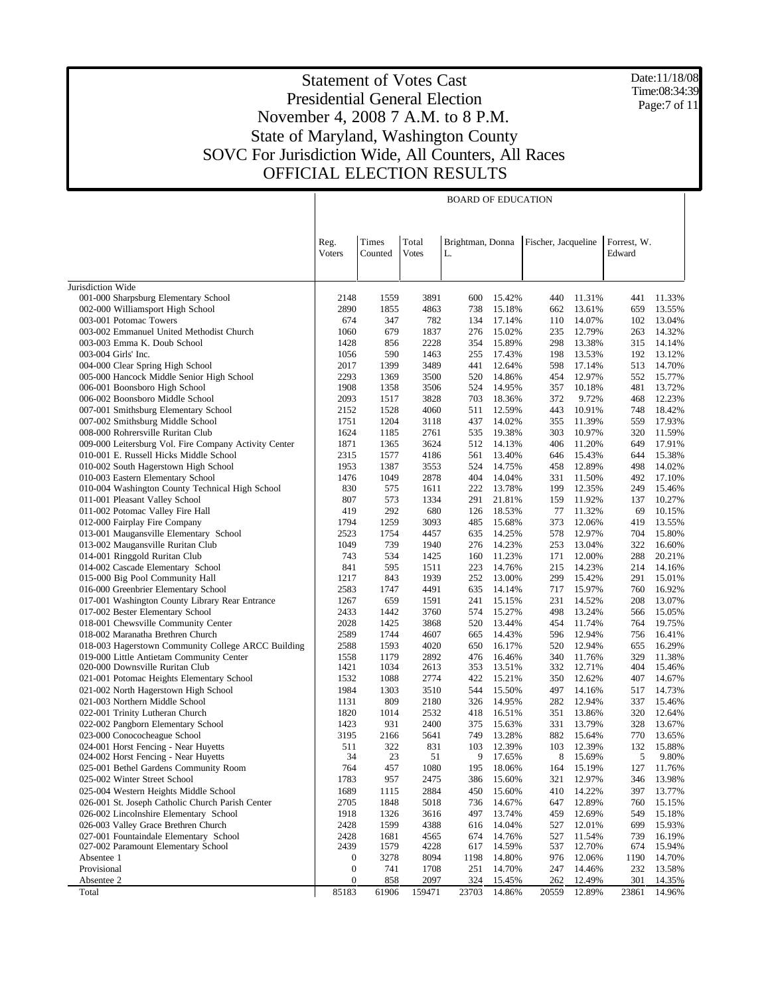Date:11/18/08 Time:08:34:39 Page:7 of 11

|                                                                              |                                      |                  |                       | <b>BOARD OF EDUCATION</b> |                  |                     |                  |                       |                  |
|------------------------------------------------------------------------------|--------------------------------------|------------------|-----------------------|---------------------------|------------------|---------------------|------------------|-----------------------|------------------|
|                                                                              | Reg.<br><b>Voters</b>                | Times<br>Counted | Total<br><b>Votes</b> | Brightman, Donna<br>L.    |                  | Fischer, Jacqueline |                  | Forrest, W.<br>Edward |                  |
| Jurisdiction Wide                                                            |                                      |                  |                       |                           |                  |                     |                  |                       |                  |
| 001-000 Sharpsburg Elementary School                                         | 2148                                 | 1559             | 3891                  | 600                       | 15.42%           | 440                 | 11.31%           | 441                   | 11.33%           |
| 002-000 Williamsport High School                                             | 2890                                 | 1855             | 4863                  | 738                       | 15.18%           | 662                 | 13.61%           | 659                   | 13.55%           |
| 003-001 Potomac Towers                                                       | 674                                  | 347              | 782                   | 134                       | 17.14%           | 110                 | 14.07%           | 102                   | 13.04%           |
| 003-002 Emmanuel United Methodist Church                                     | 1060                                 | 679              | 1837                  | 276                       | 15.02%           | 235                 | 12.79%           | 263                   | 14.32%           |
| 003-003 Emma K. Doub School                                                  | 1428                                 | 856              | 2228                  | 354                       | 15.89%           | 298                 | 13.38%           | 315                   | 14.14%           |
| 003-004 Girls' Inc.                                                          | 1056                                 | 590              | 1463                  | 255                       | 17.43%           | 198                 | 13.53%           | 192                   | 13.12%           |
| 004-000 Clear Spring High School                                             | 2017                                 | 1399             | 3489                  | 441                       | 12.64%           | 598                 | 17.14%           | 513                   | 14.70%           |
| 005-000 Hancock Middle Senior High School                                    | 2293<br>1908                         | 1369<br>1358     | 3500<br>3506          | 520<br>524                | 14.86%<br>14.95% | 454<br>357          | 12.97%<br>10.18% | 552<br>481            | 15.77%<br>13.72% |
| 006-001 Boonsboro High School<br>006-002 Boonsboro Middle School             | 2093                                 | 1517             | 3828                  | 703                       | 18.36%           | 372                 | 9.72%            | 468                   | 12.23%           |
| 007-001 Smithsburg Elementary School                                         | 2152                                 | 1528             | 4060                  | 511                       | 12.59%           | 443                 | 10.91%           | 748                   | 18.42%           |
| 007-002 Smithsburg Middle School                                             | 1751                                 | 1204             | 3118                  | 437                       | 14.02%           | 355                 | 11.39%           | 559                   | 17.93%           |
| 008-000 Rohrersville Ruritan Club                                            | 1624                                 | 1185             | 2761                  | 535                       | 19.38%           | 303                 | 10.97%           | 320                   | 11.59%           |
| 009-000 Leitersburg Vol. Fire Company Activity Center                        | 1871                                 | 1365             | 3624                  | 512                       | 14.13%           | 406                 | 11.20%           | 649                   | 17.91%           |
| 010-001 E. Russell Hicks Middle School                                       | 2315                                 | 1577             | 4186                  | 561                       | 13.40%           | 646                 | 15.43%           | 644                   | 15.38%           |
| 010-002 South Hagerstown High School                                         | 1953                                 | 1387             | 3553                  | 524                       | 14.75%           | 458                 | 12.89%           | 498                   | 14.02%           |
| 010-003 Eastern Elementary School                                            | 1476                                 | 1049             | 2878                  | 404                       | 14.04%           | 331                 | 11.50%           | 492                   | 17.10%           |
| 010-004 Washington County Technical High School                              | 830                                  | 575              | 1611                  | 222                       | 13.78%           | 199                 | 12.35%           | 249                   | 15.46%           |
| 011-001 Pleasant Valley School<br>011-002 Potomac Valley Fire Hall           | 807<br>419                           | 573<br>292       | 1334<br>680           | 291<br>126                | 21.81%<br>18.53% | 159<br>77           | 11.92%<br>11.32% | 137<br>69             | 10.27%<br>10.15% |
| 012-000 Fairplay Fire Company                                                | 1794                                 | 1259             | 3093                  | 485                       | 15.68%           | 373                 | 12.06%           | 419                   | 13.55%           |
| 013-001 Maugansville Elementary School                                       | 2523                                 | 1754             | 4457                  | 635                       | 14.25%           | 578                 | 12.97%           | 704                   | 15.80%           |
| 013-002 Maugansville Ruritan Club                                            | 1049                                 | 739              | 1940                  | 276                       | 14.23%           | 253                 | 13.04%           | 322                   | 16.60%           |
| 014-001 Ringgold Ruritan Club                                                | 743                                  | 534              | 1425                  | 160                       | 11.23%           | 171                 | 12.00%           | 288                   | 20.21%           |
| 014-002 Cascade Elementary School                                            | 841                                  | 595              | 1511                  | 223                       | 14.76%           | 215                 | 14.23%           | 214                   | 14.16%           |
| 015-000 Big Pool Community Hall                                              | 1217                                 | 843              | 1939                  | 252                       | 13.00%           | 299                 | 15.42%           | 291                   | 15.01%           |
| 016-000 Greenbrier Elementary School                                         | 2583                                 | 1747             | 4491                  | 635                       | 14.14%           | 717                 | 15.97%           | 760                   | 16.92%           |
| 017-001 Washington County Library Rear Entrance                              | 1267                                 | 659              | 1591                  | 241                       | 15.15%           | 231                 | 14.52%           | 208                   | 13.07%           |
| 017-002 Bester Elementary School                                             | 2433                                 | 1442             | 3760                  | 574                       | 15.27%           | 498                 | 13.24%           | 566                   | 15.05%           |
| 018-001 Chewsville Community Center<br>018-002 Maranatha Brethren Church     | 2028<br>2589                         | 1425<br>1744     | 3868<br>4607          | 520<br>665                | 13.44%<br>14.43% | 454<br>596          | 11.74%<br>12.94% | 764<br>756            | 19.75%<br>16.41% |
| 018-003 Hagerstown Community College ARCC Building                           | 2588                                 | 1593             | 4020                  | 650                       | 16.17%           | 520                 | 12.94%           | 655                   | 16.29%           |
| 019-000 Little Antietam Community Center                                     | 1558                                 | 1179             | 2892                  | 476                       | 16.46%           | 340                 | 11.76%           | 329                   | 11.38%           |
| 020-000 Downsville Ruritan Club                                              | 1421                                 | 1034             | 2613                  | 353                       | 13.51%           | 332                 | 12.71%           | 404                   | 15.46%           |
| 021-001 Potomac Heights Elementary School                                    | 1532                                 | 1088             | 2774                  | 422                       | 15.21%           | 350                 | 12.62%           | 407                   | 14.67%           |
| 021-002 North Hagerstown High School                                         | 1984                                 | 1303             | 3510                  | 544                       | 15.50%           | 497                 | 14.16%           | 517                   | 14.73%           |
| 021-003 Northern Middle School                                               | 1131                                 | 809              | 2180                  | 326                       | 14.95%           | 282                 | 12.94%           | 337                   | 15.46%           |
| 022-001 Trinity Lutheran Church                                              | 1820                                 | 1014             | 2532                  | 418                       | 16.51%           | 351                 | 13.86%           | 320                   | 12.64%           |
| 022-002 Pangborn Elementary School                                           | 1423                                 | 931              | 2400                  | 375                       | 15.63%           | 331                 | 13.79%           | 328                   | 13.67%           |
| 023-000 Conococheague School                                                 | 3195                                 | 2166<br>322      | 5641<br>831           | 749                       | 13.28%           | 882                 | 15.64%           | 770<br>132            | 13.65%           |
| 024-001 Horst Fencing - Near Huyetts<br>024-002 Horst Fencing - Near Huyetts | 511<br>34                            | 23               | 51                    | 103<br>9                  | 12.39%<br>17.65% | 103<br>8            | 12.39%<br>15.69% | 5                     | 15.88%<br>9.80%  |
| 025-001 Bethel Gardens Community Room                                        | 764                                  | 457              | 1080                  | 195                       | 18.06%           | 164                 | 15.19%           | 127                   | 11.76%           |
| 025-002 Winter Street School                                                 | 1783                                 | 957              | 2475                  | 386                       | 15.60%           | 321                 | 12.97%           | 346                   | 13.98%           |
| 025-004 Western Heights Middle School                                        | 1689                                 | 1115             | 2884                  | 450                       | 15.60%           | 410                 | 14.22%           | 397                   | 13.77%           |
| 026-001 St. Joseph Catholic Church Parish Center                             | 2705                                 | 1848             | 5018                  | 736                       | 14.67%           | 647                 | 12.89%           | 760                   | 15.15%           |
| 026-002 Lincolnshire Elementary School                                       | 1918                                 | 1326             | 3616                  | 497                       | 13.74%           | 459                 | 12.69%           | 549                   | 15.18%           |
| 026-003 Valley Grace Brethren Church                                         | 2428                                 | 1599             | 4388                  | 616                       | 14.04%           | 527                 | 12.01%           | 699                   | 15.93%           |
| 027-001 Fountaindale Elementary School                                       | 2428                                 | 1681             | 4565                  | 674                       | 14.76%           | 527                 | 11.54%           | 739                   | 16.19%           |
| 027-002 Paramount Elementary School                                          | 2439                                 | 1579             | 4228                  | 617                       | 14.59%           | 537                 | 12.70%           | 674                   | 15.94%           |
| Absentee 1<br>Provisional                                                    | $\boldsymbol{0}$<br>$\boldsymbol{0}$ | 3278<br>741      | 8094<br>1708          | 1198<br>251               | 14.80%<br>14.70% | 976<br>247          | 12.06%<br>14.46% | 1190<br>232           | 14.70%<br>13.58% |
| Absentee 2                                                                   | $\boldsymbol{0}$                     | 858              | 2097                  | 324                       | 15.45%           | 262                 | 12.49%           | 301                   | 14.35%           |
| Total                                                                        | 85183                                | 61906            | 159471                | 23703                     | 14.86%           | 20559               | 12.89%           | 23861                 | 14.96%           |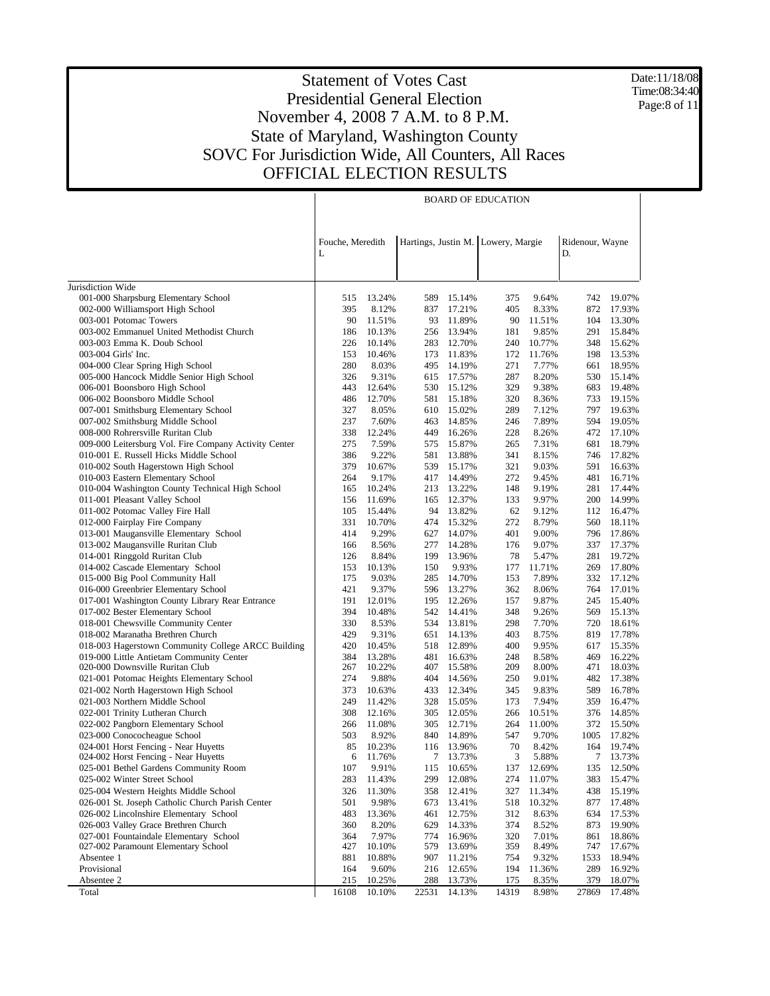Date:11/18/08 Time:08:34:40 Page:8 of 11

|                                                                      | <b>BOARD OF EDUCATION</b> |                 |            |                  |                                    |                 |                       |                  |  |  |
|----------------------------------------------------------------------|---------------------------|-----------------|------------|------------------|------------------------------------|-----------------|-----------------------|------------------|--|--|
|                                                                      | Fouche, Meredith<br>L     |                 |            |                  | Hartings, Justin M. Lowery, Margie |                 | Ridenour, Wayne<br>D. |                  |  |  |
| Jurisdiction Wide                                                    |                           |                 |            |                  |                                    |                 |                       |                  |  |  |
| 001-000 Sharpsburg Elementary School                                 | 515                       | 13.24%          | 589        | 15.14%           | 375                                | 9.64%           | 742                   | 19.07%           |  |  |
| 002-000 Williamsport High School                                     | 395                       | 8.12%           | 837        | 17.21%           | 405                                | 8.33%           | 872                   | 17.93%           |  |  |
| 003-001 Potomac Towers                                               | 90                        | 11.51%          | 93         | 11.89%           | 90                                 | 11.51%          | 104                   | 13.30%           |  |  |
| 003-002 Emmanuel United Methodist Church                             | 186                       | 10.13%          | 256        | 13.94%           | 181                                | 9.85%           | 291                   | 15.84%           |  |  |
| 003-003 Emma K. Doub School                                          | 226                       | 10.14%          | 283        | 12.70%           | 240                                | 10.77%          | 348                   | 15.62%           |  |  |
| 003-004 Girls' Inc.                                                  | 153                       | 10.46%          | 173        | 11.83%           | 172                                | 11.76%          | 198                   | 13.53%           |  |  |
| 004-000 Clear Spring High School                                     | 280                       | 8.03%           | 495        | 14.19%           | 271                                | 7.77%           | 661                   | 18.95%           |  |  |
| 005-000 Hancock Middle Senior High School                            | 326                       | 9.31%           | 615        | 17.57%           | 287                                | 8.20%           | 530                   | 15.14%           |  |  |
| 006-001 Boonsboro High School                                        | 443                       | 12.64%          | 530        | 15.12%           | 329                                | 9.38%           | 683                   | 19.48%           |  |  |
| 006-002 Boonsboro Middle School                                      | 486                       | 12.70%          | 581        | 15.18%           | 320                                | 8.36%           | 733                   | 19.15%           |  |  |
| 007-001 Smithsburg Elementary School                                 | 327                       | 8.05%           | 610        | 15.02%           | 289                                | 7.12%           | 797                   | 19.63%           |  |  |
| 007-002 Smithsburg Middle School                                     | 237                       | 7.60%           | 463        | 14.85%           | 246                                | 7.89%           | 594                   | 19.05%           |  |  |
| 008-000 Rohrersville Ruritan Club                                    | 338                       | 12.24%          | 449        | 16.26%           | 228                                | 8.26%           | 472                   | 17.10%           |  |  |
| 009-000 Leitersburg Vol. Fire Company Activity Center                | 275                       | 7.59%           | 575        | 15.87%           | 265                                | 7.31%           | 681                   | 18.79%           |  |  |
| 010-001 E. Russell Hicks Middle School                               | 386                       | 9.22%           | 581        | 13.88%           | 341                                | 8.15%           | 746                   | 17.82%           |  |  |
| 010-002 South Hagerstown High School                                 | 379                       | 10.67%          | 539        | 15.17%           | 321                                | 9.03%           | 591                   | 16.63%           |  |  |
| 010-003 Eastern Elementary School                                    | 264                       | 9.17%           |            | 417 14.49%       | 272                                | 9.45%           | 481                   | 16.71%           |  |  |
| 010-004 Washington County Technical High School                      | 165                       | 10.24%          |            | 213 13.22%       | 148                                | 9.19%           | 281                   | 17.44%           |  |  |
| 011-001 Pleasant Valley School                                       | 156                       | 11.69%          |            | 165 12.37%       | 133                                | 9.97%           | 200                   | 14.99%           |  |  |
| 011-002 Potomac Valley Fire Hall                                     | 105                       | 15.44%          | 94         | 13.82%           | 62                                 | 9.12%           | 112                   | 16.47%           |  |  |
| 012-000 Fairplay Fire Company                                        | 331                       | 10.70%          | 474        | 15.32%           | 272                                | 8.79%           | 560                   | 18.11%           |  |  |
| 013-001 Maugansville Elementary School                               | 414                       | 9.29%           | 627        | 14.07%           | 401                                | 9.00%           | 796                   | 17.86%           |  |  |
| 013-002 Maugansville Ruritan Club                                    | 166                       | 8.56%           | 277        | 14.28%           | 176                                | 9.07%           | 337                   | 17.37%           |  |  |
| 014-001 Ringgold Ruritan Club                                        | 126                       | 8.84%           | 199        | 13.96%<br>9.93%  | 78<br>177                          | 5.47%<br>11.71% | 281                   | 19.72%<br>17.80% |  |  |
| 014-002 Cascade Elementary School<br>015-000 Big Pool Community Hall | 153<br>175                | 10.13%<br>9.03% | 150<br>285 | 14.70%           | 153                                | 7.89%           | 269<br>332            | 17.12%           |  |  |
| 016-000 Greenbrier Elementary School                                 | 421                       | 9.37%           |            | 596 13.27%       | 362                                | 8.06%           | 764                   | 17.01%           |  |  |
| 017-001 Washington County Library Rear Entrance                      | 191                       | 12.01%          | 195        | 12.26%           | 157                                | 9.87%           | 245                   | 15.40%           |  |  |
| 017-002 Bester Elementary School                                     | 394                       | 10.48%          |            | 542 14.41%       | 348                                | 9.26%           | 569                   | 15.13%           |  |  |
| 018-001 Chewsville Community Center                                  | 330                       | 8.53%           | 534        | 13.81%           | 298                                | 7.70%           | 720                   | 18.61%           |  |  |
| 018-002 Maranatha Brethren Church                                    | 429                       | 9.31%           | 651        | 14.13%           | 403                                | 8.75%           | 819                   | 17.78%           |  |  |
| 018-003 Hagerstown Community College ARCC Building                   | 420                       | 10.45%          | 518        | 12.89%           | 400                                | 9.95%           | 617                   | 15.35%           |  |  |
| 019-000 Little Antietam Community Center                             | 384                       | 13.28%          | 481        | 16.63%           | 248                                | 8.58%           | 469                   | 16.22%           |  |  |
| 020-000 Downsville Ruritan Club                                      | 267                       | 10.22%          | 407        | 15.58%           | 209                                | 8.00%           | 471                   | 18.03%           |  |  |
| 021-001 Potomac Heights Elementary School                            | 274                       | 9.88%           | 404        | 14.56%           | 250                                | 9.01%           | 482                   | 17.38%           |  |  |
| 021-002 North Hagerstown High School                                 | 373                       | 10.63%          | 433        | 12.34%           | 345                                | 9.83%           | 589                   | 16.78%           |  |  |
| 021-003 Northern Middle School                                       | 249                       | 11.42%          | 328        | 15.05%           | 173                                | 7.94%           | 359                   | 16.47%           |  |  |
| 022-001 Trinity Lutheran Church                                      | 308                       | 12.16%          | 305        | 12.05%           | 266                                | 10.51%          | 376                   | 14.85%           |  |  |
| 022-002 Pangborn Elementary School                                   | 266                       | 11.08%          | 305        | 12.71%           | 264                                | 11.00%          | 372                   | 15.50%           |  |  |
| 023-000 Conococheague School                                         | 503                       | 8.92%           | 840        | 14.89%           | 547                                | 9.70%           | 1005                  | 17.82%           |  |  |
| 024-001 Horst Fencing - Near Huyetts                                 | 85                        | 10.23%          | 116        | 13.96%           | 70                                 | 8.42%           | 164                   | 19.74%           |  |  |
| 024-002 Horst Fencing - Near Huyetts                                 | 6                         | 11.76%          | 7          | 13.73%           | 3                                  | 5.88%           | 7                     | 13.73%           |  |  |
| 025-001 Bethel Gardens Community Room                                | 107                       | 9.91%           | 115        | 10.65%           | 137                                | 12.69%          | 135                   | 12.50%           |  |  |
| 025-002 Winter Street School                                         | 283                       | 11.43%          | 299        | 12.08%           | 274                                | 11.07%          | 383                   | 15.47%           |  |  |
| 025-004 Western Heights Middle School                                | 326                       | 11.30%          | 358        | 12.41%           | 327                                | 11.34%          | 438                   | 15.19%           |  |  |
| 026-001 St. Joseph Catholic Church Parish Center                     | 501                       | 9.98%           | 673        | 13.41%           | 518                                | 10.32%          | 877                   | 17.48%           |  |  |
| 026-002 Lincolnshire Elementary School                               | 483                       | 13.36%          | 461        | 12.75%           | 312                                | 8.63%           | 634                   | 17.53%           |  |  |
| 026-003 Valley Grace Brethren Church                                 | 360                       | 8.20%           | 629        | 14.33%           | 374                                | 8.52%           | 873                   | 19.90%           |  |  |
| 027-001 Fountaindale Elementary School                               | 364                       | 7.97%           | 774        | 16.96%           | 320                                | 7.01%           | 861                   | 18.86%           |  |  |
| 027-002 Paramount Elementary School                                  | 427                       | 10.10%          | 579        | 13.69%           | 359                                | 8.49%           | 747                   | 17.67%           |  |  |
| Absentee 1                                                           | 881                       | 10.88%          | 907        | 11.21%           | 754                                | 9.32%           | 1533                  | 18.94%           |  |  |
| Provisional<br>Absentee 2                                            | 164<br>215                | 9.60%<br>10.25% | 216<br>288 | 12.65%<br>13.73% | 194<br>175                         | 11.36%<br>8.35% | 289<br>379            | 16.92%<br>18.07% |  |  |
| Total                                                                | 16108                     | 10.10%          | 22531      | 14.13%           | 14319                              | 8.98%           | 27869                 | 17.48%           |  |  |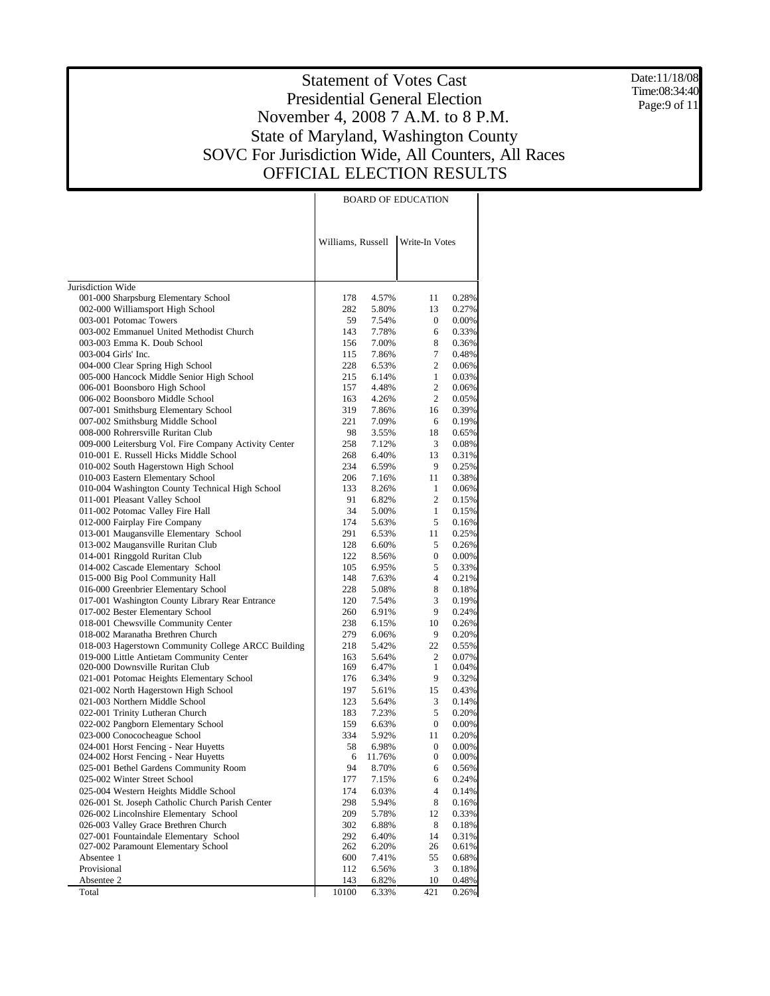Date:11/18/08 Time:08:34:40 Page:9 of 11

|                                                                            |                   | <b>BOARD OF EDUCATION</b> |                     |                |  |  |  |  |  |  |
|----------------------------------------------------------------------------|-------------------|---------------------------|---------------------|----------------|--|--|--|--|--|--|
|                                                                            | Williams, Russell |                           | Write-In Votes      |                |  |  |  |  |  |  |
| Jurisdiction Wide                                                          |                   |                           |                     |                |  |  |  |  |  |  |
| 001-000 Sharpsburg Elementary School                                       | 178               | 4.57%                     | 11                  | 0.28%          |  |  |  |  |  |  |
| 002-000 Williamsport High School                                           | 282               | 5.80%                     | 13                  | 0.27%          |  |  |  |  |  |  |
| 003-001 Potomac Towers                                                     | 59                | 7.54%                     | 0                   | 0.00%          |  |  |  |  |  |  |
| 003-002 Emmanuel United Methodist Church                                   | 143               | 7.78%                     | 6                   | 0.33%          |  |  |  |  |  |  |
| 003-003 Emma K. Doub School                                                | 156               | 7.00%                     | 8                   | 0.36%          |  |  |  |  |  |  |
| 003-004 Girls' Inc.                                                        | 115               | 7.86%                     | 7                   | 0.48%          |  |  |  |  |  |  |
| 004-000 Clear Spring High School                                           | 228               | 6.53%                     | 2                   | 0.06%          |  |  |  |  |  |  |
| 005-000 Hancock Middle Senior High School<br>006-001 Boonsboro High School | 215<br>157        | 6.14%<br>4.48%            | $\mathbf{1}$<br>2   | 0.03%<br>0.06% |  |  |  |  |  |  |
| 006-002 Boonsboro Middle School                                            | 163               | 4.26%                     | $\overline{c}$      | 0.05%          |  |  |  |  |  |  |
| 007-001 Smithsburg Elementary School                                       | 319               | 7.86%                     | 16                  | 0.39%          |  |  |  |  |  |  |
| 007-002 Smithsburg Middle School                                           | 221               | 7.09%                     | 6                   | 0.19%          |  |  |  |  |  |  |
| 008-000 Rohrersville Ruritan Club                                          | 98                | 3.55%                     | 18                  | 0.65%          |  |  |  |  |  |  |
| 009-000 Leitersburg Vol. Fire Company Activity Center                      | 258               | 7.12%                     | 3                   | 0.08%          |  |  |  |  |  |  |
| 010-001 E. Russell Hicks Middle School                                     | 268               | 6.40%                     | 13                  | 0.31%          |  |  |  |  |  |  |
| 010-002 South Hagerstown High School                                       | 234               | 6.59%                     | 9                   | 0.25%          |  |  |  |  |  |  |
| 010-003 Eastern Elementary School                                          | 206               | 7.16%                     | 11                  | 0.38%          |  |  |  |  |  |  |
| 010-004 Washington County Technical High School                            | 133               | 8.26%                     | $\mathbf{1}$        | 0.06%          |  |  |  |  |  |  |
| 011-001 Pleasant Valley School                                             | 91                | 6.82%                     | 2                   | 0.15%          |  |  |  |  |  |  |
| 011-002 Potomac Valley Fire Hall                                           | 34                | 5.00%                     | $\mathbf{1}$        | 0.15%          |  |  |  |  |  |  |
| 012-000 Fairplay Fire Company                                              | 174               | 5.63%                     | 5                   | 0.16%          |  |  |  |  |  |  |
| 013-001 Maugansville Elementary School                                     | 291               | 6.53%                     | 11                  | 0.25%          |  |  |  |  |  |  |
| 013-002 Maugansville Ruritan Club                                          | 128               | 6.60%                     | 5                   | 0.26%          |  |  |  |  |  |  |
| 014-001 Ringgold Ruritan Club                                              | 122               | 8.56%                     | 0                   | 0.00%          |  |  |  |  |  |  |
| 014-002 Cascade Elementary School<br>015-000 Big Pool Community Hall       | 105<br>148        | 6.95%<br>7.63%            | 5<br>$\overline{4}$ | 0.33%<br>0.21% |  |  |  |  |  |  |
| 016-000 Greenbrier Elementary School                                       | 228               | 5.08%                     | 8                   | 0.18%          |  |  |  |  |  |  |
| 017-001 Washington County Library Rear Entrance                            | 120               | 7.54%                     | 3                   | 0.19%          |  |  |  |  |  |  |
| 017-002 Bester Elementary School                                           | 260               | 6.91%                     | 9                   | 0.24%          |  |  |  |  |  |  |
| 018-001 Chewsville Community Center                                        | 238               | 6.15%                     | 10                  | 0.26%          |  |  |  |  |  |  |
| 018-002 Maranatha Brethren Church                                          | 279               | 6.06%                     | 9                   | 0.20%          |  |  |  |  |  |  |
| 018-003 Hagerstown Community College ARCC Building                         | 218               | 5.42%                     | 22                  | 0.55%          |  |  |  |  |  |  |
| 019-000 Little Antietam Community Center                                   | 163               | 5.64%                     | 2                   | 0.07%          |  |  |  |  |  |  |
| 020-000 Downsville Ruritan Club                                            | 169               | 6.47%                     | $\mathbf{1}$        | 0.04%          |  |  |  |  |  |  |
| 021-001 Potomac Heights Elementary School                                  | 176               | 6.34%                     | 9                   | 0.32%          |  |  |  |  |  |  |
| 021-002 North Hagerstown High School                                       | 197               | 5.61%                     | 15                  | 0.43%          |  |  |  |  |  |  |
| 021-003 Northern Middle School                                             | 123               | 5.64%                     | 3                   | 0.14%          |  |  |  |  |  |  |
| 022-001 Trinity Lutheran Church                                            | 183               | 7.23%                     | 5                   | 0.20%          |  |  |  |  |  |  |
| 022-002 Pangborn Elementary School                                         | 159               | 6.63%                     | 0                   | 0.00%          |  |  |  |  |  |  |
| 023-000 Conococheague School<br>024-001 Horst Fencing - Near Huyetts       | 334<br>58         | 5.92%<br>6.98%            | 11<br>0             | 0.20%<br>0.00% |  |  |  |  |  |  |
| 024-002 Horst Fencing - Near Huyetts                                       | 6                 | 11.76%                    | $\boldsymbol{0}$    | $0.00\%$       |  |  |  |  |  |  |
| 025-001 Bethel Gardens Community Room                                      | 94                | 8.70%                     | 6                   | 0.56%          |  |  |  |  |  |  |
| 025-002 Winter Street School                                               | 177               | 7.15%                     | 6                   | 0.24%          |  |  |  |  |  |  |
| 025-004 Western Heights Middle School                                      | 174               | 6.03%                     | 4                   | 0.14%          |  |  |  |  |  |  |
| 026-001 St. Joseph Catholic Church Parish Center                           | 298               | 5.94%                     | 8                   | 0.16%          |  |  |  |  |  |  |
| 026-002 Lincolnshire Elementary School                                     | 209               | 5.78%                     | 12                  | 0.33%          |  |  |  |  |  |  |
| 026-003 Valley Grace Brethren Church                                       | 302               | 6.88%                     | 8                   | 0.18%          |  |  |  |  |  |  |
| 027-001 Fountaindale Elementary School                                     | 292               | 6.40%                     | 14                  | 0.31%          |  |  |  |  |  |  |
| 027-002 Paramount Elementary School                                        | 262               | 6.20%                     | 26                  | 0.61%          |  |  |  |  |  |  |
| Absentee 1                                                                 | 600               | 7.41%                     | 55                  | 0.68%          |  |  |  |  |  |  |
| Provisional                                                                | 112               | 6.56%                     | 3                   | 0.18%          |  |  |  |  |  |  |
| Absentee 2                                                                 | 143               | 6.82%                     | 10                  | 0.48%          |  |  |  |  |  |  |
| Total                                                                      | 10100             | 6.33%                     | 421                 | 0.26%          |  |  |  |  |  |  |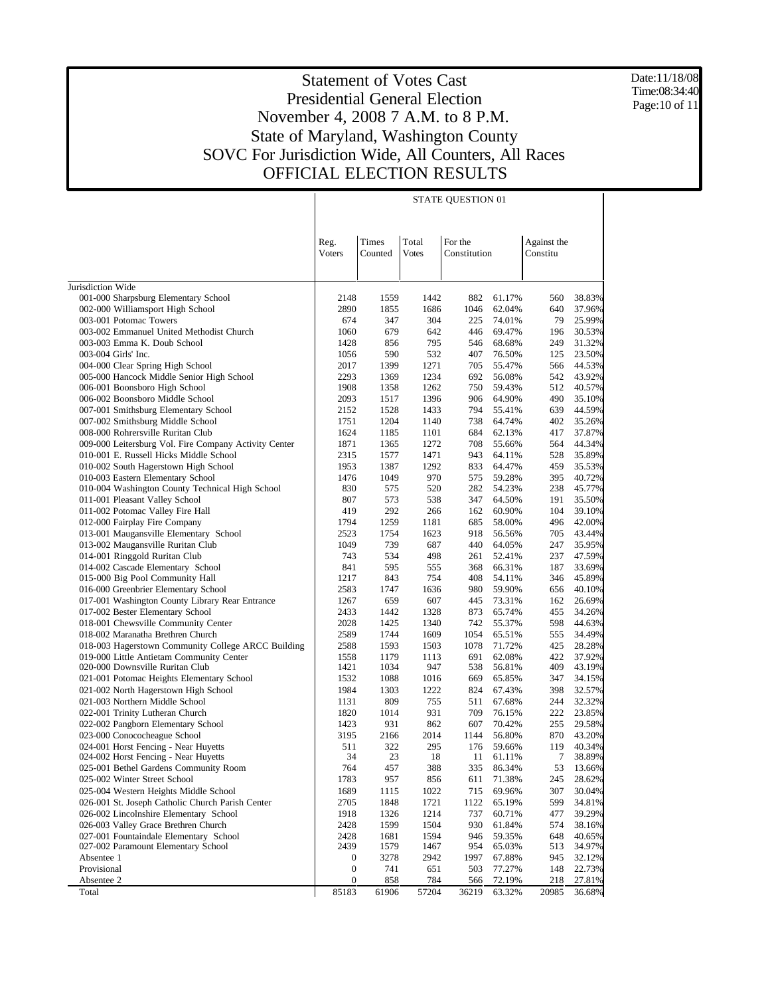Date:11/18/08 Time:08:34:40 Page:10 of 11

|                                                                                                | STATE QUESTION 01 |              |              |              |                  |             |                  |  |  |
|------------------------------------------------------------------------------------------------|-------------------|--------------|--------------|--------------|------------------|-------------|------------------|--|--|
|                                                                                                |                   |              |              |              |                  |             |                  |  |  |
|                                                                                                |                   |              |              |              |                  |             |                  |  |  |
|                                                                                                | Reg.              | <b>Times</b> | Total        | For the      |                  | Against the |                  |  |  |
|                                                                                                | Voters            | Counted      | <b>Votes</b> | Constitution |                  | Constitu    |                  |  |  |
|                                                                                                |                   |              |              |              |                  |             |                  |  |  |
|                                                                                                |                   |              |              |              |                  |             |                  |  |  |
| Jurisdiction Wide                                                                              |                   |              |              |              |                  |             |                  |  |  |
| 001-000 Sharpsburg Elementary School                                                           | 2148              | 1559         | 1442         | 882          | 61.17%           | 560         | 38.83%           |  |  |
| 002-000 Williamsport High School<br>003-001 Potomac Towers                                     | 2890<br>674       | 1855<br>347  | 1686<br>304  | 1046         | 62.04%           | 640<br>79   | 37.96%<br>25.99% |  |  |
| 003-002 Emmanuel United Methodist Church                                                       | 1060              | 679          | 642          | 225<br>446   | 74.01%<br>69.47% | 196         | 30.53%           |  |  |
| 003-003 Emma K. Doub School                                                                    | 1428              | 856          | 795          | 546          | 68.68%           | 249         | 31.32%           |  |  |
| 003-004 Girls' Inc.                                                                            | 1056              | 590          | 532          | 407          | 76.50%           | 125         | 23.50%           |  |  |
| 004-000 Clear Spring High School                                                               | 2017              | 1399         | 1271         | 705          | 55.47%           | 566         | 44.53%           |  |  |
| 005-000 Hancock Middle Senior High School                                                      | 2293              | 1369         | 1234         | 692          | 56.08%           | 542         | 43.92%           |  |  |
| 006-001 Boonsboro High School                                                                  | 1908              | 1358         | 1262         | 750          | 59.43%           | 512         | 40.57%           |  |  |
| 006-002 Boonsboro Middle School                                                                | 2093              | 1517         | 1396         | 906          | 64.90%           | 490         | 35.10%           |  |  |
| 007-001 Smithsburg Elementary School                                                           | 2152              | 1528         | 1433         | 794          | 55.41%           | 639         | 44.59%           |  |  |
| 007-002 Smithsburg Middle School                                                               | 1751              | 1204         | 1140         | 738          | 64.74%           | 402         | 35.26%           |  |  |
| 008-000 Rohrersville Ruritan Club                                                              | 1624              | 1185         | 1101         | 684          | 62.13%           | 417         | 37.87%           |  |  |
| 009-000 Leitersburg Vol. Fire Company Activity Center                                          | 1871              | 1365         | 1272         | 708          | 55.66%           | 564         | 44.34%           |  |  |
| 010-001 E. Russell Hicks Middle School                                                         | 2315              | 1577         | 1471         | 943          | 64.11%           | 528         | 35.89%           |  |  |
| 010-002 South Hagerstown High School                                                           | 1953              | 1387         | 1292         | 833          | 64.47%           | 459         | 35.53%           |  |  |
| 010-003 Eastern Elementary School<br>010-004 Washington County Technical High School           | 1476<br>830       | 1049<br>575  | 970<br>520   | 575<br>282   | 59.28%<br>54.23% | 395<br>238  | 40.72%<br>45.77% |  |  |
| 011-001 Pleasant Valley School                                                                 | 807               | 573          | 538          | 347          | 64.50%           | 191         | 35.50%           |  |  |
| 011-002 Potomac Valley Fire Hall                                                               | 419               | 292          | 266          | 162          | 60.90%           | 104         | 39.10%           |  |  |
| 012-000 Fairplay Fire Company                                                                  | 1794              | 1259         | 1181         | 685          | 58.00%           | 496         | 42.00%           |  |  |
| 013-001 Maugansville Elementary School                                                         | 2523              | 1754         | 1623         | 918          | 56.56%           | 705         | 43.44%           |  |  |
| 013-002 Maugansville Ruritan Club                                                              | 1049              | 739          | 687          | 440          | 64.05%           | 247         | 35.95%           |  |  |
| 014-001 Ringgold Ruritan Club                                                                  | 743               | 534          | 498          | 261          | 52.41%           | 237         | 47.59%           |  |  |
| 014-002 Cascade Elementary School                                                              | 841               | 595          | 555          | 368          | 66.31%           | 187         | 33.69%           |  |  |
| 015-000 Big Pool Community Hall                                                                | 1217              | 843          | 754          | 408          | 54.11%           | 346         | 45.89%           |  |  |
| 016-000 Greenbrier Elementary School                                                           | 2583              | 1747         | 1636         | 980          | 59.90%           | 656         | 40.10%           |  |  |
| 017-001 Washington County Library Rear Entrance                                                | 1267              | 659          | 607          | 445          | 73.31%           | 162         | 26.69%           |  |  |
| 017-002 Bester Elementary School                                                               | 2433              | 1442         | 1328         | 873          | 65.74%           | 455         | 34.26%           |  |  |
| 018-001 Chewsville Community Center                                                            | 2028              | 1425         | 1340         | 742          | 55.37%           | 598         | 44.63%           |  |  |
| 018-002 Maranatha Brethren Church                                                              | 2589              | 1744         | 1609         | 1054         | 65.51%           | 555         | 34.49%           |  |  |
| 018-003 Hagerstown Community College ARCC Building<br>019-000 Little Antietam Community Center | 2588<br>1558      | 1593<br>1179 | 1503<br>1113 | 1078<br>691  | 71.72%<br>62.08% | 425<br>422  | 28.28%<br>37.92% |  |  |
| 020-000 Downsville Ruritan Club                                                                | 1421              | 1034         | 947          | 538          | 56.81%           | 409         | 43.19%           |  |  |
| 021-001 Potomac Heights Elementary School                                                      | 1532              | 1088         | 1016         | 669          | 65.85%           | 347         | 34.15%           |  |  |
| 021-002 North Hagerstown High School                                                           | 1984              | 1303         | 1222         | 824          | 67.43%           | 398         | 32.57%           |  |  |
| 021-003 Northern Middle School                                                                 | 1131              | 809          | 755          | 511          | 67.68%           | 244         | 32.32%           |  |  |
| 022-001 Trinity Lutheran Church                                                                | 1820              | 1014         | 931          | 709          | 76.15%           | 222         | 23.85%           |  |  |
| 022-002 Pangborn Elementary School                                                             | 1423              | 931          | 862          | 607          | 70.42%           | 255         | 29.58%           |  |  |
| 023-000 Conococheague School                                                                   | 3195              | 2166         | 2014         | 1144         | 56.80%           | 870         | 43.20%           |  |  |
| 024-001 Horst Fencing - Near Huyetts                                                           | 511               | 322          | 295          | 176          | 59.66%           | 119         | 40.34%           |  |  |
| 024-002 Horst Fencing - Near Huyetts                                                           | 34                | 23           | 18           | 11           | 61.11%           | 7           | 38.89%           |  |  |
| 025-001 Bethel Gardens Community Room                                                          | 764               | 457          | 388          | 335          | 86.34%           | 53          | 13.66%           |  |  |
| 025-002 Winter Street School                                                                   | 1783              | 957          | 856          | 611          | 71.38%           | 245         | 28.62%           |  |  |
| 025-004 Western Heights Middle School                                                          | 1689              | 1115         | 1022         | 715          | 69.96%           | 307         | 30.04%           |  |  |
| 026-001 St. Joseph Catholic Church Parish Center                                               | 2705              | 1848         | 1721         | 1122         | 65.19%           | 599         | 34.81%           |  |  |
| 026-002 Lincolnshire Elementary School<br>026-003 Valley Grace Brethren Church                 | 1918              | 1326         | 1214         | 737          | 60.71%           | 477         | 39.29%           |  |  |
| 027-001 Fountaindale Elementary School                                                         | 2428              | 1599         | 1504         | 930<br>946   | 61.84%           | 574         | 38.16%           |  |  |
| 027-002 Paramount Elementary School                                                            | 2428<br>2439      | 1681<br>1579 | 1594<br>1467 | 954          | 59.35%<br>65.03% | 648<br>513  | 40.65%<br>34.97% |  |  |
| Absentee 1                                                                                     | $\boldsymbol{0}$  | 3278         | 2942         | 1997         | 67.88%           | 945         | 32.12%           |  |  |
| Provisional                                                                                    | $\boldsymbol{0}$  | 741          | 651          | 503          | 77.27%           | 148         | 22.73%           |  |  |
| Absentee 2                                                                                     | $\boldsymbol{0}$  | 858          | 784          | 566          | 72.19%           | 218         | 27.81%           |  |  |
| Total                                                                                          | 85183             | 61906        | 57204        | 36219        | 63.32%           | 20985       | 36.68%           |  |  |